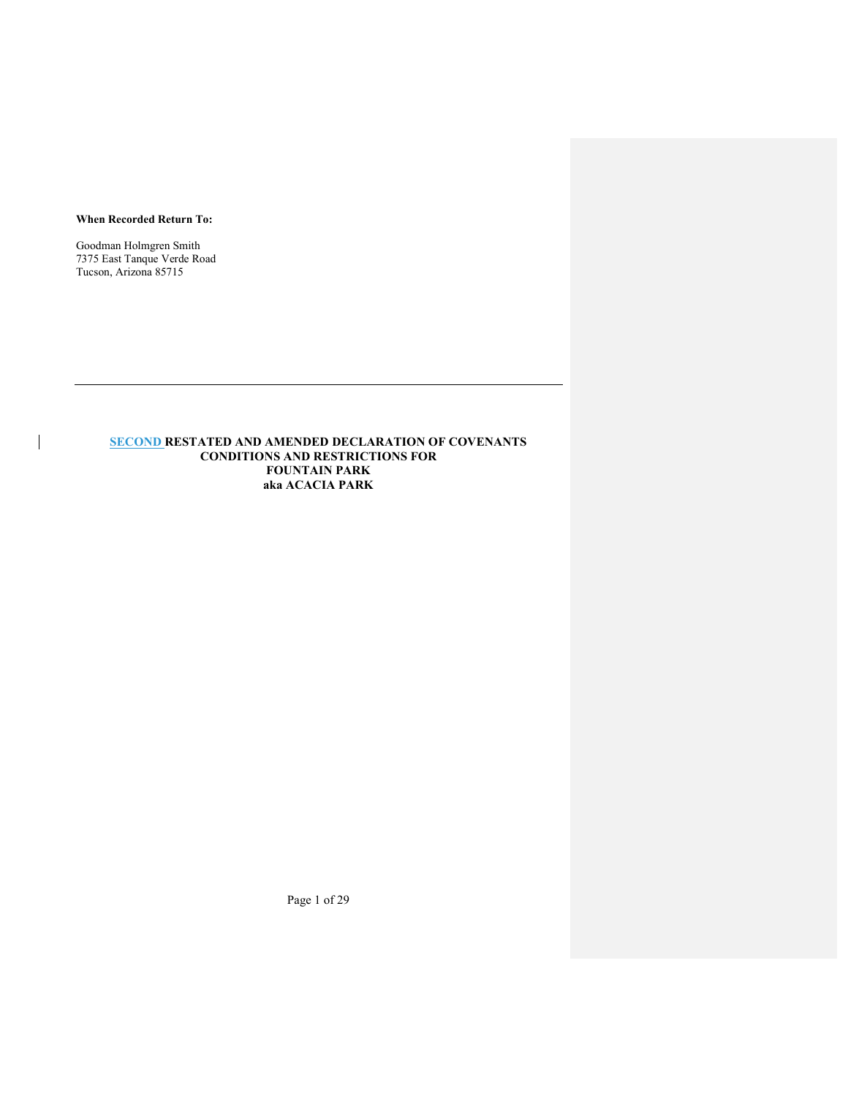### When Recorded Return To:

Goodman Holmgren Smith 7375 East Tanque Verde Road Tucson, Arizona 85715

 $\overline{\phantom{a}}$ 

# SECOND RESTATED AND AMENDED DECLARATION OF COVENANTS CONDITIONS AND RESTRICTIONS FOR FOUNTAIN PARK aka ACACIA PARK

Page 1 of 29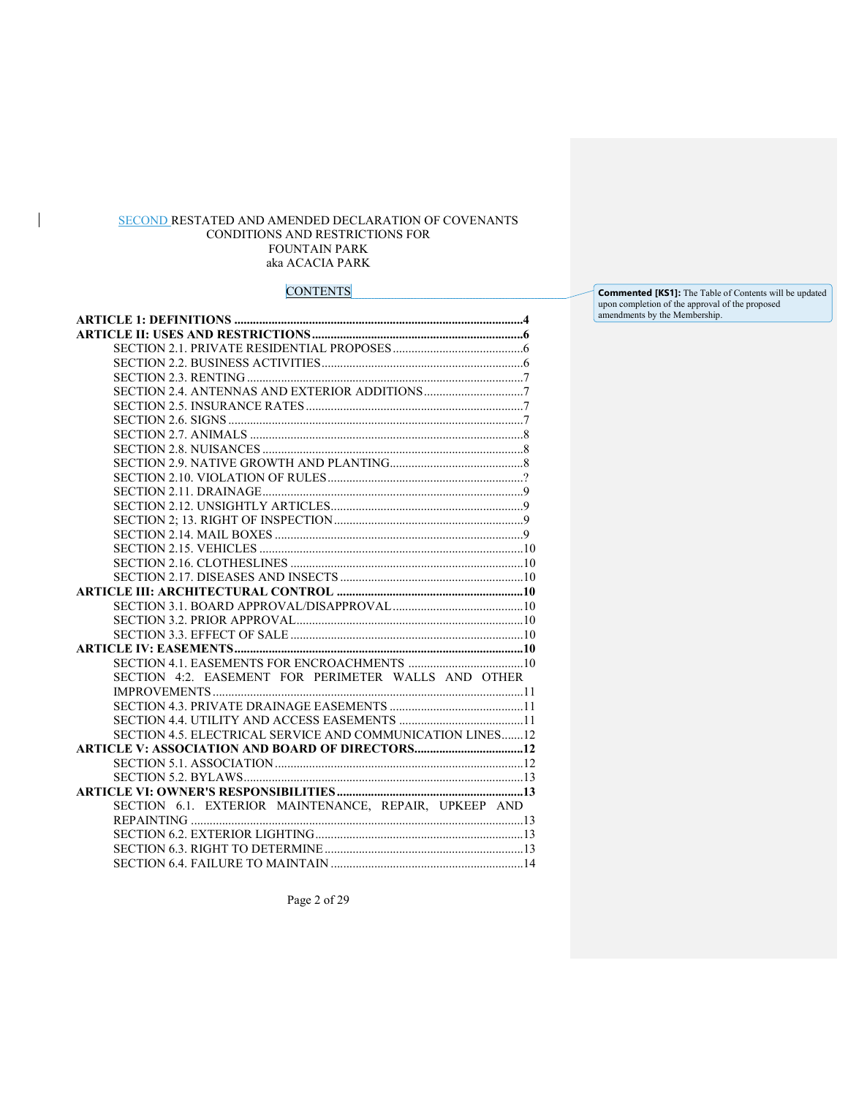# SECOND RESTATED AND AMENDED DECLARATION OF COVENANTS CONDITIONS AND RESTRICTIONS FOR FOUNTAIN PARK aka ACACIA PARK

 $\begin{array}{c} \rule{0pt}{2ex} \rule{0pt}{2ex} \rule{0pt}{2ex} \rule{0pt}{2ex} \rule{0pt}{2ex} \rule{0pt}{2ex} \rule{0pt}{2ex} \rule{0pt}{2ex} \rule{0pt}{2ex} \rule{0pt}{2ex} \rule{0pt}{2ex} \rule{0pt}{2ex} \rule{0pt}{2ex} \rule{0pt}{2ex} \rule{0pt}{2ex} \rule{0pt}{2ex} \rule{0pt}{2ex} \rule{0pt}{2ex} \rule{0pt}{2ex} \rule{0pt}{2ex} \rule{0pt}{2ex} \rule{0pt}{2ex} \rule{0pt}{2ex} \rule{0pt}{$ 

# **CONTENTS**

| SECTION 4:2. EASEMENT FOR PERIMETER WALLS AND OTHER       |
|-----------------------------------------------------------|
|                                                           |
|                                                           |
|                                                           |
| SECTION 4.5. ELECTRICAL SERVICE AND COMMUNICATION LINES12 |
|                                                           |
|                                                           |
|                                                           |
|                                                           |
| SECTION 6.1. EXTERIOR MAINTENANCE, REPAIR, UPKEEP AND     |
|                                                           |
|                                                           |
|                                                           |
|                                                           |

**Commented [KS1]:** The Table of Contents will be updated upon completion of the approval of the proposed amendments by the Membership.

Page 2 of 29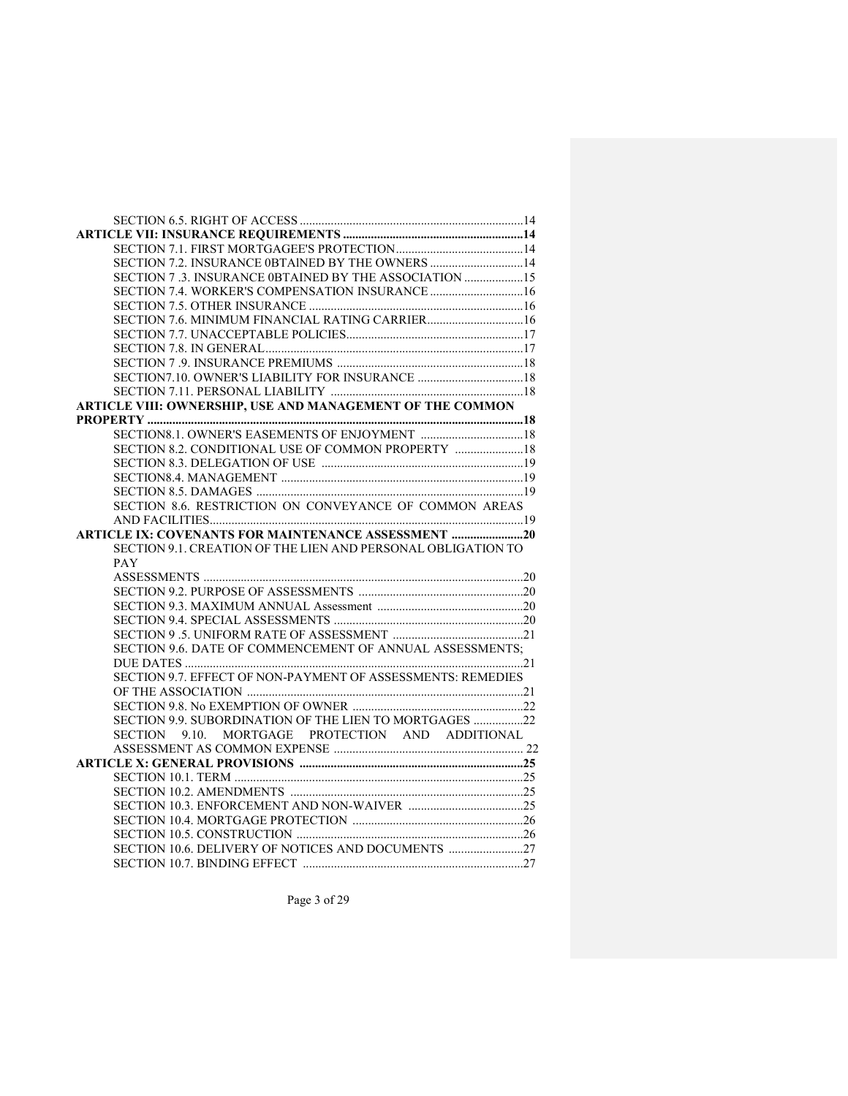| SECTION 7.2. INSURANCE 0BTAINED BY THE OWNERS  14            |  |
|--------------------------------------------------------------|--|
| SECTION 7 .3. INSURANCE 0BTAINED BY THE ASSOCIATION  15      |  |
| SECTION 7.4. WORKER'S COMPENSATION INSURANCE  16             |  |
|                                                              |  |
|                                                              |  |
|                                                              |  |
|                                                              |  |
|                                                              |  |
|                                                              |  |
|                                                              |  |
| ARTICLE VIII: OWNERSHIP, USE AND MANAGEMENT OF THE COMMON    |  |
|                                                              |  |
|                                                              |  |
| SECTION 8.2. CONDITIONAL USE OF COMMON PROPERTY  18          |  |
|                                                              |  |
|                                                              |  |
|                                                              |  |
| SECTION 8.6. RESTRICTION ON CONVEYANCE OF COMMON AREAS       |  |
|                                                              |  |
| ARTICLE IX: COVENANTS FOR MAINTENANCE ASSESSMENT 20          |  |
|                                                              |  |
|                                                              |  |
| SECTION 9.1. CREATION OF THE LIEN AND PERSONAL OBLIGATION TO |  |
| PAY                                                          |  |
|                                                              |  |
|                                                              |  |
|                                                              |  |
|                                                              |  |
|                                                              |  |
| SECTION 9.6. DATE OF COMMENCEMENT OF ANNUAL ASSESSMENTS;     |  |
|                                                              |  |
| SECTION 9.7. EFFECT OF NON-PAYMENT OF ASSESSMENTS: REMEDIES  |  |
|                                                              |  |
|                                                              |  |
| SECTION 9.9. SUBORDINATION OF THE LIEN TO MORTGAGES 22       |  |
| MORTGAGE PROTECTION AND ADDITIONAL<br>SECTION 9.10.          |  |
|                                                              |  |
|                                                              |  |
|                                                              |  |
|                                                              |  |
|                                                              |  |
|                                                              |  |
|                                                              |  |
|                                                              |  |

Page 3 of 29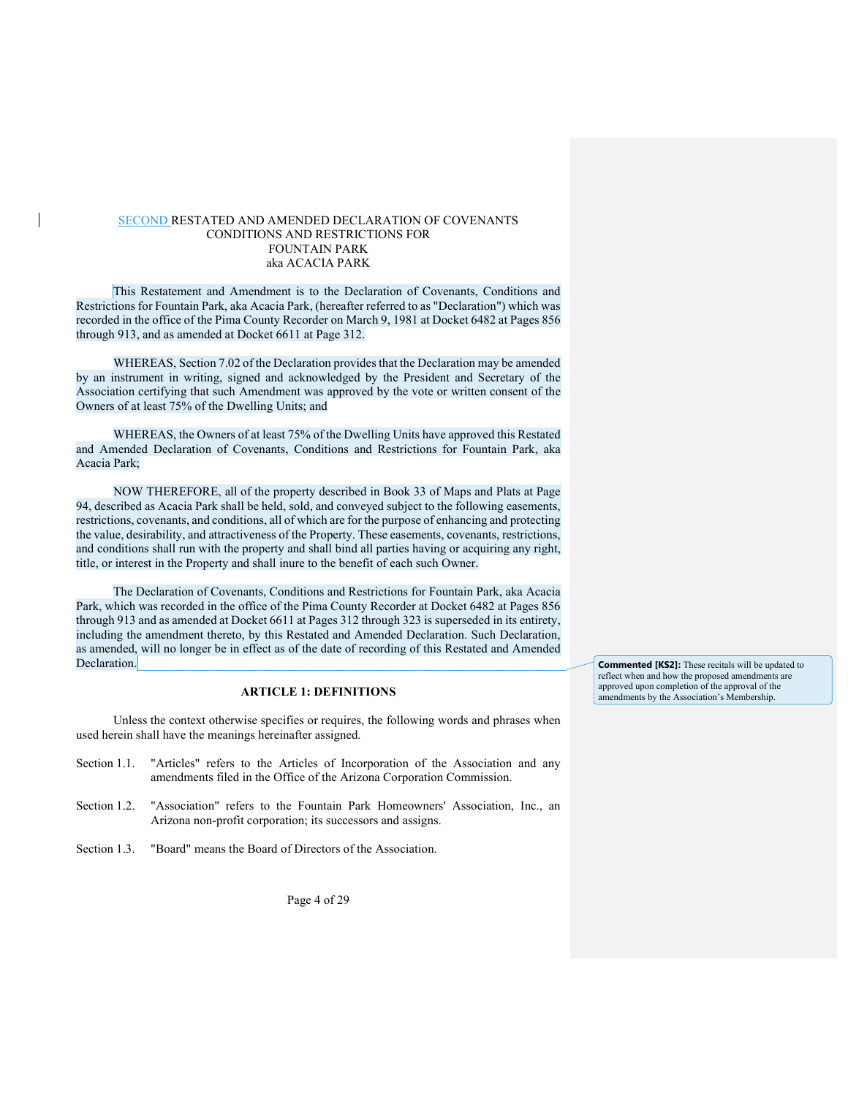# SECOND RESTATED AND AMENDED DECLARATION OF COVENANTS CONDITIONS AND RESTRICTIONS FOR FOUNTAIN PARK aka ACACIA PARK

This Restatement and Amendment is to the Declaration of Covenants, Conditions and Restrictions for Fountain Park, aka Acacia Park, (hereafter referred to as "Declaration") which was recorded in the office of the Pima County Recorder on March 9, 1981 at Docket 6482 at Pages 856 through 913, and as amended at Docket 6611 at Page 312.

WHEREAS, Section 7.02 of the Declaration provides that the Declaration may be amended by an instrument in writing, signed and acknowledged by the President and Secretary of the Association certifying that such Amendment was approved by the vote or written consent of the Owners of at least 75% of the Dwelling Units; and

WHEREAS, the Owners of at least 75% of the Dwelling Units have approved this Restated and Amended Declaration of Covenants, Conditions and Restrictions for Fountain Park, aka Acacia Park;

NOW THEREFORE, all of the property described in Book 33 of Maps and Plats at Page 94, described as Acacia Park shall be held, sold, and conveyed subject to the following easements, restrictions, covenants, and conditions, all of which are for the purpose of enhancing and protecting the value, desirability, and attractiveness of the Property. These easements, covenants, restrictions, and conditions shall run with the property and shall bind all parties having or acquiring any right, title, or interest in the Property and shall inure to the benefit of each such Owner.

The Declaration of Covenants, Conditions and Restrictions for Fountain Park, aka Acacia Park, which was recorded in the office of the Pima County Recorder at Docket 6482 at Pages 856 through 913 and as amended at Docket 6611 at Pages 312 through 323 is superseded in its entirety, including the amendment thereto, by this Restated and Amended Declaration. Such Declaration, as amended, will no longer be in effect as of the date of recording of this Restated and Amended Declaration.

# ARTICLE 1: DEFINITIONS

Unless the context otherwise specifies or requires, the following words and phrases when used herein shall have the meanings hereinafter assigned.

- Section 1.1. "Articles" refers to the Articles of Incorporation of the Association and any amendments filed in the Office of the Arizona Corporation Commission.
- Section 1.2. "Association" refers to the Fountain Park Homeowners' Association, Inc., an Arizona non-profit corporation; its successors and assigns.
- Section 1.3. "Board" means the Board of Directors of the Association.

Page 4 of 29

Commented [KS2]: These recitals will be updated to reflect when and how the proposed amendments are approved upon completion of the approval of the amendments by the Association's Membership.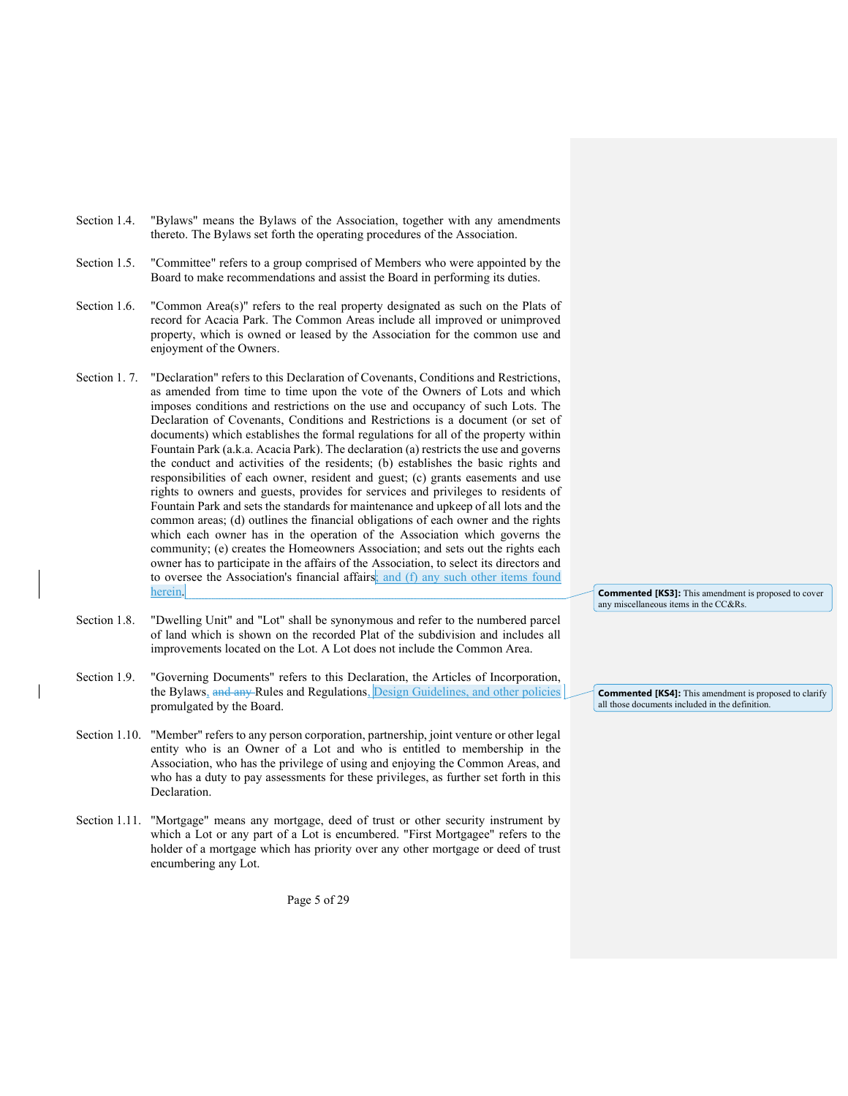- Section 1.4. "Bylaws" means the Bylaws of the Association, together with any amendments thereto. The Bylaws set forth the operating procedures of the Association.
- Section 1.5. "Committee" refers to a group comprised of Members who were appointed by the Board to make recommendations and assist the Board in performing its duties.
- Section 1.6. "Common Area(s)" refers to the real property designated as such on the Plats of record for Acacia Park. The Common Areas include all improved or unimproved property, which is owned or leased by the Association for the common use and enjoyment of the Owners.
- Section 1. 7. "Declaration" refers to this Declaration of Covenants, Conditions and Restrictions, as amended from time to time upon the vote of the Owners of Lots and which imposes conditions and restrictions on the use and occupancy of such Lots. The Declaration of Covenants, Conditions and Restrictions is a document (or set of documents) which establishes the formal regulations for all of the property within Fountain Park (a.k.a. Acacia Park). The declaration (a) restricts the use and governs the conduct and activities of the residents; (b) establishes the basic rights and responsibilities of each owner, resident and guest; (c) grants easements and use rights to owners and guests, provides for services and privileges to residents of Fountain Park and sets the standards for maintenance and upkeep of all lots and the common areas; (d) outlines the financial obligations of each owner and the rights which each owner has in the operation of the Association which governs the community; (e) creates the Homeowners Association; and sets out the rights each owner has to participate in the affairs of the Association, to select its directors and to oversee the Association's financial affairs; and (f) any such other items found herein.
- Section 1.8. "Dwelling Unit" and "Lot" shall be synonymous and refer to the numbered parcel of land which is shown on the recorded Plat of the subdivision and includes all improvements located on the Lot. A Lot does not include the Common Area.
- Section 1.9. "Governing Documents" refers to this Declaration, the Articles of Incorporation, the Bylaws, and any Rules and Regulations, Design Guidelines, and other policies promulgated by the Board.
- Section 1.10. "Member" refers to any person corporation, partnership, joint venture or other legal entity who is an Owner of a Lot and who is entitled to membership in the Association, who has the privilege of using and enjoying the Common Areas, and who has a duty to pay assessments for these privileges, as further set forth in this Declaration.
- Section 1.11. "Mortgage" means any mortgage, deed of trust or other security instrument by which a Lot or any part of a Lot is encumbered. "First Mortgagee" refers to the holder of a mortgage which has priority over any other mortgage or deed of trust encumbering any Lot.

Page 5 of 29

Commented [KS3]: This amendment is proposed to cover any miscellaneous items in the CC&Rs.

Commented [KS4]: This amendment is proposed to clarify all those documents included in the definition.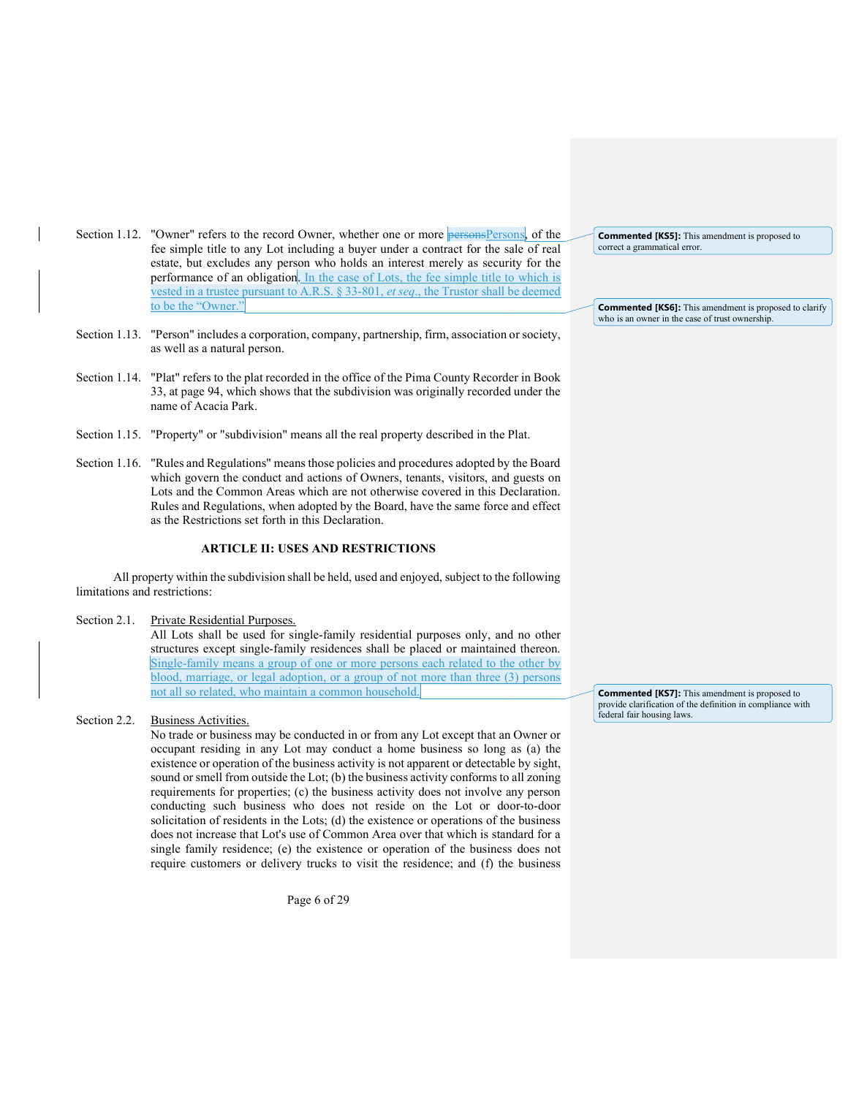- Section 1.12. "Owner" refers to the record Owner, whether one or more personsPersons, of the fee simple title to any Lot including a buyer under a contract for the sale of real estate, but excludes any person who holds an interest merely as security for the performance of an obligation. In the case of Lots, the fee simple title to which is vested in a trustee pursuant to A.R.S. § 33-801, et seq., the Trustor shall be deemed to be the "Owner."
- Section 1.13. "Person" includes a corporation, company, partnership, firm, association or society, as well as a natural person.
- Section 1.14. "Plat" refers to the plat recorded in the office of the Pima County Recorder in Book 33, at page 94, which shows that the subdivision was originally recorded under the name of Acacia Park.
- Section 1.15. "Property" or "subdivision" means all the real property described in the Plat.
- Section 1.16. "Rules and Regulations" means those policies and procedures adopted by the Board which govern the conduct and actions of Owners, tenants, visitors, and guests on Lots and the Common Areas which are not otherwise covered in this Declaration. Rules and Regulations, when adopted by the Board, have the same force and effect as the Restrictions set forth in this Declaration.

# ARTICLE II: USES AND RESTRICTIONS

All property within the subdivision shall be held, used and enjoyed, subject to the following limitations and restrictions:

Section 2.1. Private Residential Purposes.

All Lots shall be used for single-family residential purposes only, and no other structures except single-family residences shall be placed or maintained thereon. Single-family means a group of one or more persons each related to the other by blood, marriage, or legal adoption, or a group of not more than three (3) persons not all so related, who maintain a common household.

### Section 2.2. Business Activities.

No trade or business may be conducted in or from any Lot except that an Owner or occupant residing in any Lot may conduct a home business so long as (a) the existence or operation of the business activity is not apparent or detectable by sight, sound or smell from outside the Lot; (b) the business activity conforms to all zoning requirements for properties; (c) the business activity does not involve any person conducting such business who does not reside on the Lot or door-to-door solicitation of residents in the Lots; (d) the existence or operations of the business does not increase that Lot's use of Common Area over that which is standard for a single family residence; (e) the existence or operation of the business does not require customers or delivery trucks to visit the residence; and (f) the business

Page 6 of 29

Commented [KS5]: This amendment is proposed to correct a grammatical error.

Commented [KS6]: This amendment is proposed to clarify who is an owner in the case of trust ownership.

Commented [KS7]: This amendment is proposed to provide clarification of the definition in compliance with federal fair housing laws.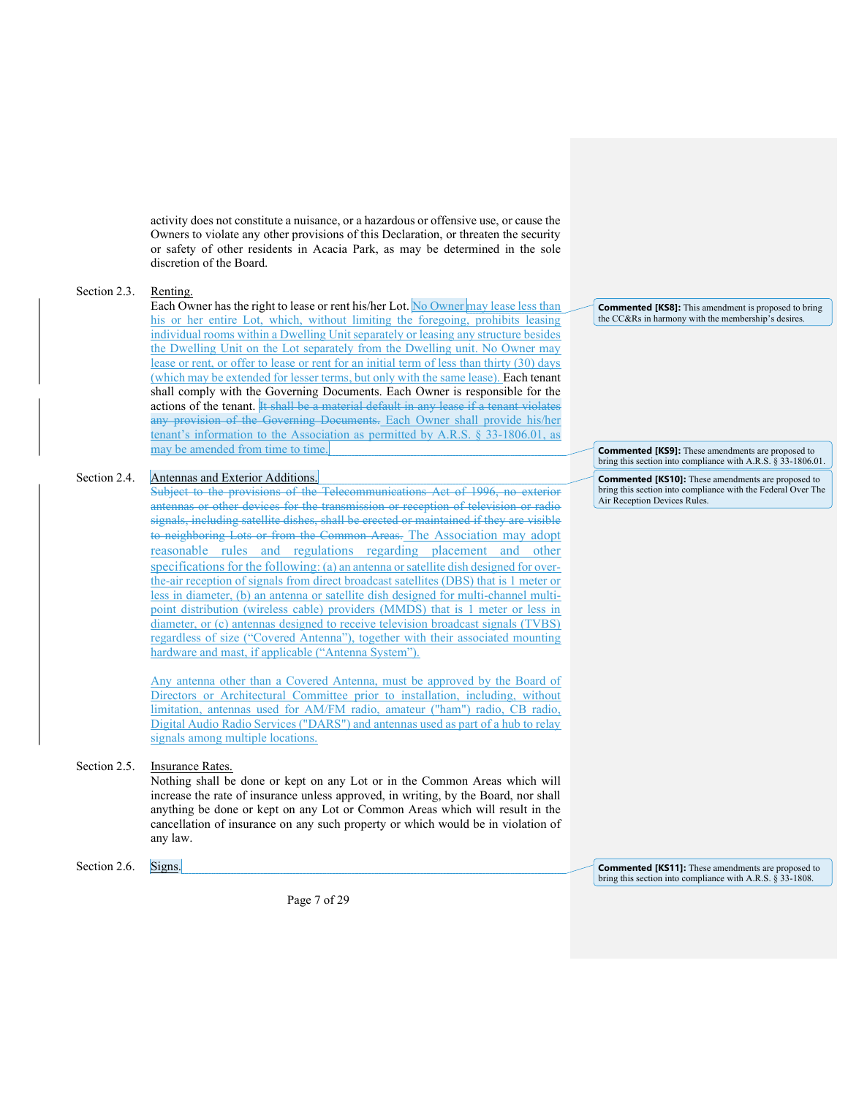activity does not constitute a nuisance, or a hazardous or offensive use, or cause the Owners to violate any other provisions of this Declaration, or threaten the security or safety of other residents in Acacia Park, as may be determined in the sole discretion of the Board.

### Section 2.3. Renting.

Each Owner has the right to lease or rent his/her Lot. No Owner may lease less than his or her entire Lot, which, without limiting the foregoing, prohibits leasing individual rooms within a Dwelling Unit separately or leasing any structure besides the Dwelling Unit on the Lot separately from the Dwelling unit. No Owner may lease or rent, or offer to lease or rent for an initial term of less than thirty (30) days (which may be extended for lesser terms, but only with the same lease). Each tenant shall comply with the Governing Documents. Each Owner is responsible for the actions of the tenant. It shall be a material default in any lease if a tenant violates any provision of the Governing Documents. Each Owner shall provide his/her tenant's information to the Association as permitted by A.R.S. § 33-1806.01, as may be amended from time to time.

## Section 2.4. Antennas and Exterior Additions.

Subject to the provisions of the Telecommunications Act of 1996, no exterior antennas or other devices for the transmission or reception of television or radio signals, including satellite dishes, shall be erected or maintained if they are visible to neighboring Lots or from the Common Areas. The Association may adopt reasonable rules and regulations regarding placement and other specifications for the following: (a) an antenna or satellite dish designed for overthe-air reception of signals from direct broadcast satellites (DBS) that is 1 meter or less in diameter, (b) an antenna or satellite dish designed for multi-channel multipoint distribution (wireless cable) providers (MMDS) that is 1 meter or less in diameter, or (c) antennas designed to receive television broadcast signals (TVBS) regardless of size ("Covered Antenna"), together with their associated mounting hardware and mast, if applicable ("Antenna System").

Any antenna other than a Covered Antenna, must be approved by the Board of Directors or Architectural Committee prior to installation, including, without limitation, antennas used for AM/FM radio, amateur ("ham") radio, CB radio, Digital Audio Radio Services ("DARS") and antennas used as part of a hub to relay signals among multiple locations.

# Section 2.5. Insurance Rates.

Nothing shall be done or kept on any Lot or in the Common Areas which will increase the rate of insurance unless approved, in writing, by the Board, nor shall anything be done or kept on any Lot or Common Areas which will result in the cancellation of insurance on any such property or which would be in violation of any law.

Section 2.6. Signs.

Page 7 of 29

Commented [KS8]: This amendment is proposed to bring the CC&Rs in harmony with the membership's desires.

Commented [KS9]: These amendments are proposed to bring this section into compliance with A.R.S. § 33-1806.01.

Commented [KS10]: These amendments are proposed to bring this section into compliance with the Federal Over The Air Reception Devices Rules.

Commented [KS11]: These amendments are proposed to bring this section into compliance with A.R.S. § 33-1808.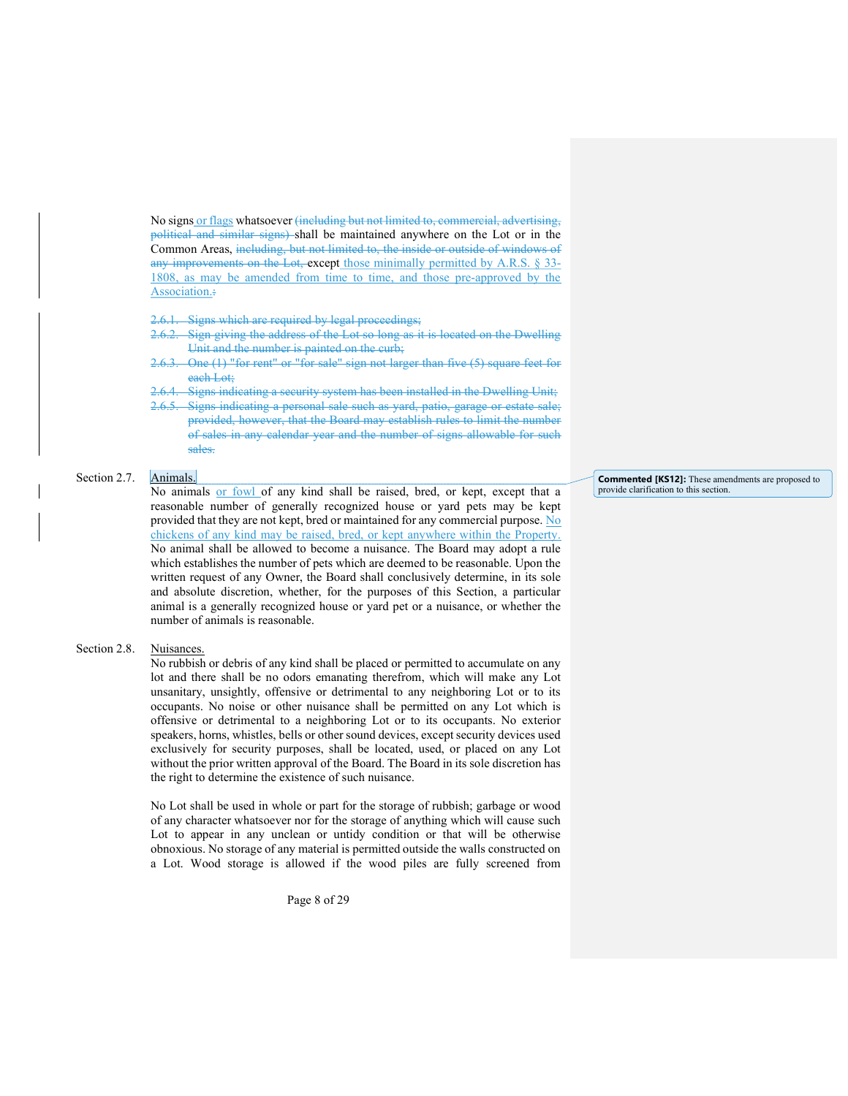No signs or flags whatsoever (including but not limited to, commercial, advertising, political and similar signs) shall be maintained anywhere on the Lot or in the Common Areas, including, but not limited to, the inside or outside of windows of any improvements on the Lot, except those minimally permitted by A.R.S. § 33- 1808, as may be amended from time to time, and those pre-approved by the Association.:

Signs which are required by legal proceedings;

- Sign giving the address of the Lot so long as it is located on the Dwelling Unit and the number is painted on the curb;
- 2.6.3. One (1) "for rent" or "for sale" sign not larger than five (5) square feet for each Lot;
- Signs indicating a security system has been installed in the Dwelling Unit:
- Signs indicating a personal sale such as yard, patio, garage or estate sale; provided, however, that the Board may establish rules to limit the number of sales in any calendar year and the number of signs allowable for such sales.

# Section 2.7. Animals.

No animals or fowl of any kind shall be raised, bred, or kept, except that a reasonable number of generally recognized house or yard pets may be kept provided that they are not kept, bred or maintained for any commercial purpose. No chickens of any kind may be raised, bred, or kept anywhere within the Property. No animal shall be allowed to become a nuisance. The Board may adopt a rule which establishes the number of pets which are deemed to be reasonable. Upon the written request of any Owner, the Board shall conclusively determine, in its sole and absolute discretion, whether, for the purposes of this Section, a particular animal is a generally recognized house or yard pet or a nuisance, or whether the number of animals is reasonable.

### Section 2.8. Nuisances.

No rubbish or debris of any kind shall be placed or permitted to accumulate on any lot and there shall be no odors emanating therefrom, which will make any Lot unsanitary, unsightly, offensive or detrimental to any neighboring Lot or to its occupants. No noise or other nuisance shall be permitted on any Lot which is offensive or detrimental to a neighboring Lot or to its occupants. No exterior speakers, horns, whistles, bells or other sound devices, except security devices used exclusively for security purposes, shall be located, used, or placed on any Lot without the prior written approval of the Board. The Board in its sole discretion has the right to determine the existence of such nuisance.

No Lot shall be used in whole or part for the storage of rubbish; garbage or wood of any character whatsoever nor for the storage of anything which will cause such Lot to appear in any unclean or untidy condition or that will be otherwise obnoxious. No storage of any material is permitted outside the walls constructed on a Lot. Wood storage is allowed if the wood piles are fully screened from

Page 8 of 29

Commented [KS12]: These amendments are proposed to provide clarification to this section.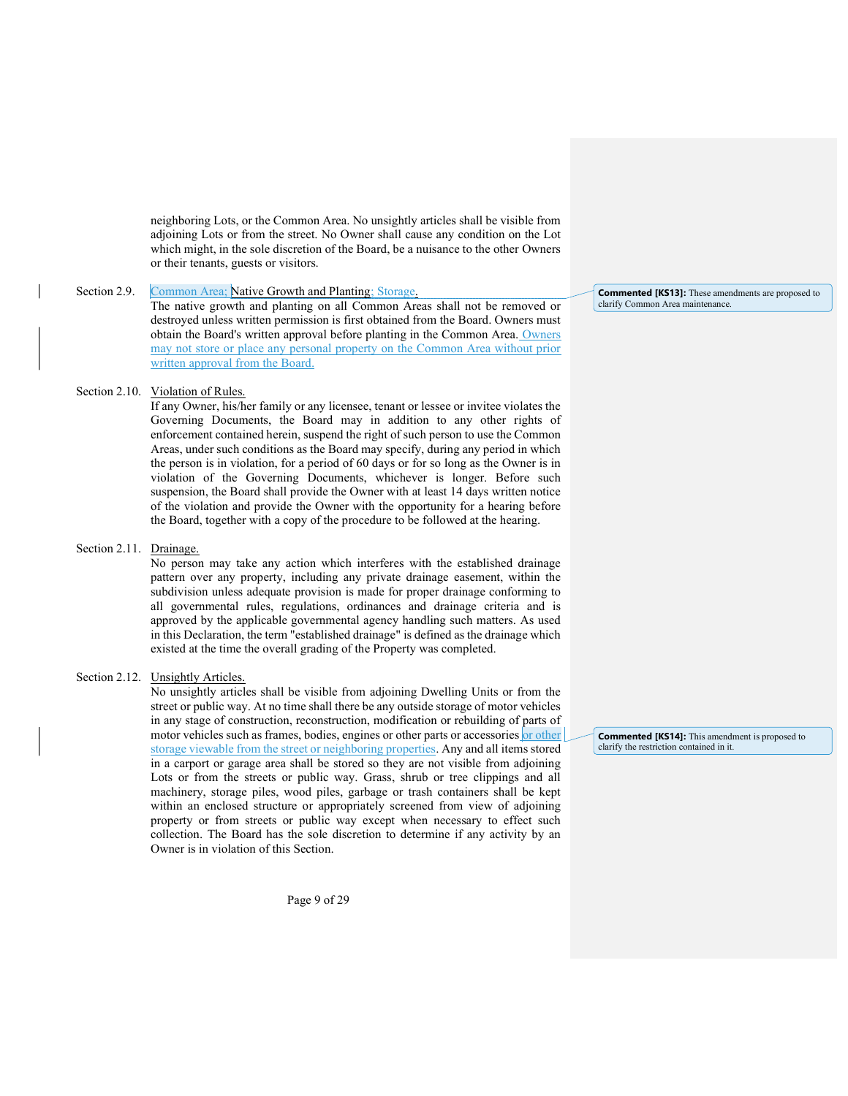neighboring Lots, or the Common Area. No unsightly articles shall be visible from adjoining Lots or from the street. No Owner shall cause any condition on the Lot which might, in the sole discretion of the Board, be a nuisance to the other Owners or their tenants, guests or visitors.

### Section 2.9. Common Area; Native Growth and Planting; Storage.

The native growth and planting on all Common Areas shall not be removed or destroyed unless written permission is first obtained from the Board. Owners must obtain the Board's written approval before planting in the Common Area. Owners may not store or place any personal property on the Common Area without prior written approval from the Board.

# Section 2.10. Violation of Rules.

If any Owner, his/her family or any licensee, tenant or lessee or invitee violates the Governing Documents, the Board may in addition to any other rights of enforcement contained herein, suspend the right of such person to use the Common Areas, under such conditions as the Board may specify, during any period in which the person is in violation, for a period of 60 days or for so long as the Owner is in violation of the Governing Documents, whichever is longer. Before such suspension, the Board shall provide the Owner with at least 14 days written notice of the violation and provide the Owner with the opportunity for a hearing before the Board, together with a copy of the procedure to be followed at the hearing.

### Section 2.11. Drainage.

No person may take any action which interferes with the established drainage pattern over any property, including any private drainage easement, within the subdivision unless adequate provision is made for proper drainage conforming to all governmental rules, regulations, ordinances and drainage criteria and is approved by the applicable governmental agency handling such matters. As used in this Declaration, the term "established drainage" is defined as the drainage which existed at the time the overall grading of the Property was completed.

# Section 2.12. Unsightly Articles.

No unsightly articles shall be visible from adjoining Dwelling Units or from the street or public way. At no time shall there be any outside storage of motor vehicles in any stage of construction, reconstruction, modification or rebuilding of parts of motor vehicles such as frames, bodies, engines or other parts or accessories or other storage viewable from the street or neighboring properties. Any and all items stored in a carport or garage area shall be stored so they are not visible from adjoining Lots or from the streets or public way. Grass, shrub or tree clippings and all machinery, storage piles, wood piles, garbage or trash containers shall be kept within an enclosed structure or appropriately screened from view of adjoining property or from streets or public way except when necessary to effect such collection. The Board has the sole discretion to determine if any activity by an Owner is in violation of this Section.

Page 9 of 29

Commented [KS13]: These amendments are proposed to clarify Common Area maintenance.

Commented [KS14]: This amendment is proposed to clarify the restriction contained in it.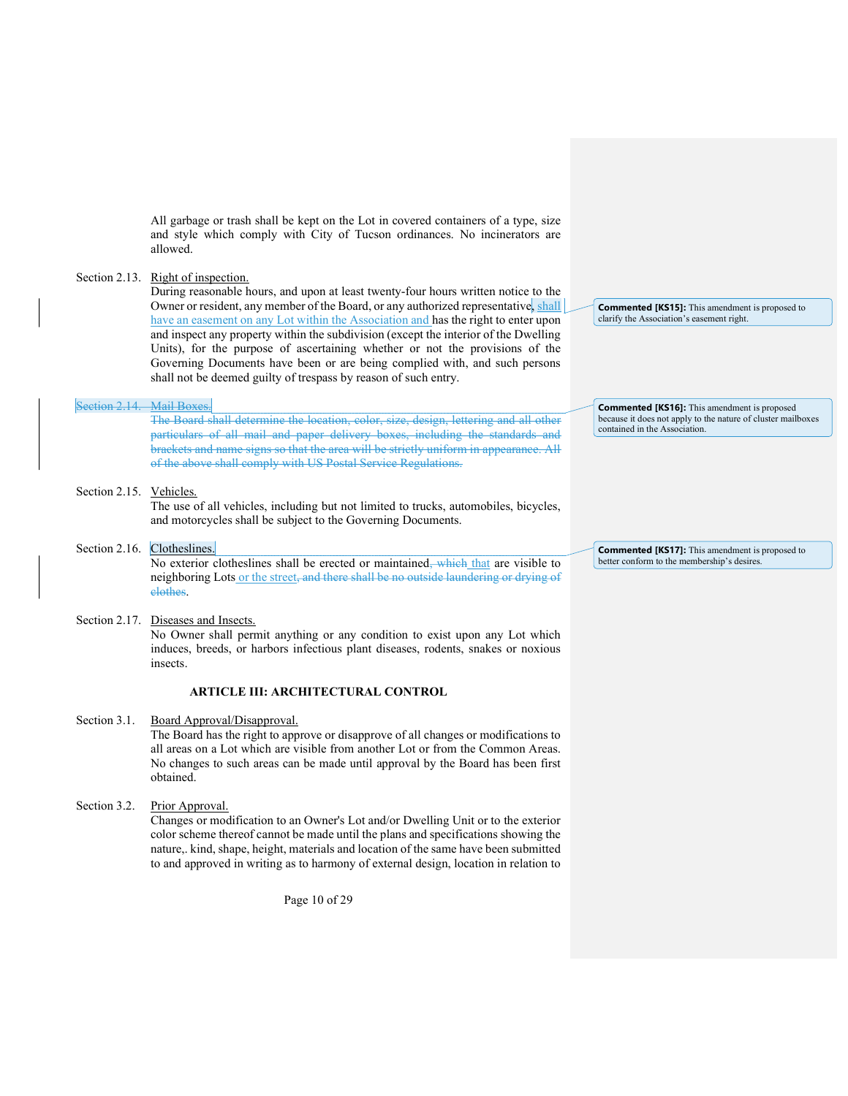All garbage or trash shall be kept on the Lot in covered containers of a type, size and style which comply with City of Tucson ordinances. No incinerators are allowed.

### Section 2.13. Right of inspection.

During reasonable hours, and upon at least twenty-four hours written notice to the Owner or resident, any member of the Board, or any authorized representative, shall have an easement on any Lot within the Association and has the right to enter upon and inspect any property within the subdivision (except the interior of the Dwelling Units), for the purpose of ascertaining whether or not the provisions of the Governing Documents have been or are being complied with, and such persons shall not be deemed guilty of trespass by reason of such entry.

### Section 2.14. Mail Boxes.

The Board shall determine the location, color, size, design, lettering and all other particulars of all mail and paper delivery boxes, including the standards and brackets and name signs so that the area will be strictly uniform in appearance. All of the above shall comply with US Postal Service Regulations.

### Section 2.15. Vehicles.

The use of all vehicles, including but not limited to trucks, automobiles, bicycles, and motorcycles shall be subject to the Governing Documents.

# Section 2.16. Clotheslines.

No exterior clotheslines shall be erected or maintained, which that are visible to neighboring Lots or the street, and there shall be no outside laundering or drying of clothes.

### Section 2.17. Diseases and Insects.

No Owner shall permit anything or any condition to exist upon any Lot which induces, breeds, or harbors infectious plant diseases, rodents, snakes or noxious insects.

# ARTICLE III: ARCHITECTURAL CONTROL

### Section 3.1. Board Approval/Disapproval.

The Board has the right to approve or disapprove of all changes or modifications to all areas on a Lot which are visible from another Lot or from the Common Areas. No changes to such areas can be made until approval by the Board has been first obtained.

# Section 3.2. Prior Approval.

Changes or modification to an Owner's Lot and/or Dwelling Unit or to the exterior color scheme thereof cannot be made until the plans and specifications showing the nature,. kind, shape, height, materials and location of the same have been submitted to and approved in writing as to harmony of external design, location in relation to

Page 10 of 29

Commented [KS15]: This amendment is proposed to clarify the Association's easement right.

Commented [KS16]: This amendment is proposed because it does not apply to the nature of cluster mailboxes contained in the Association.

Commented [KS17]: This amendment is proposed to better conform to the membership's desires.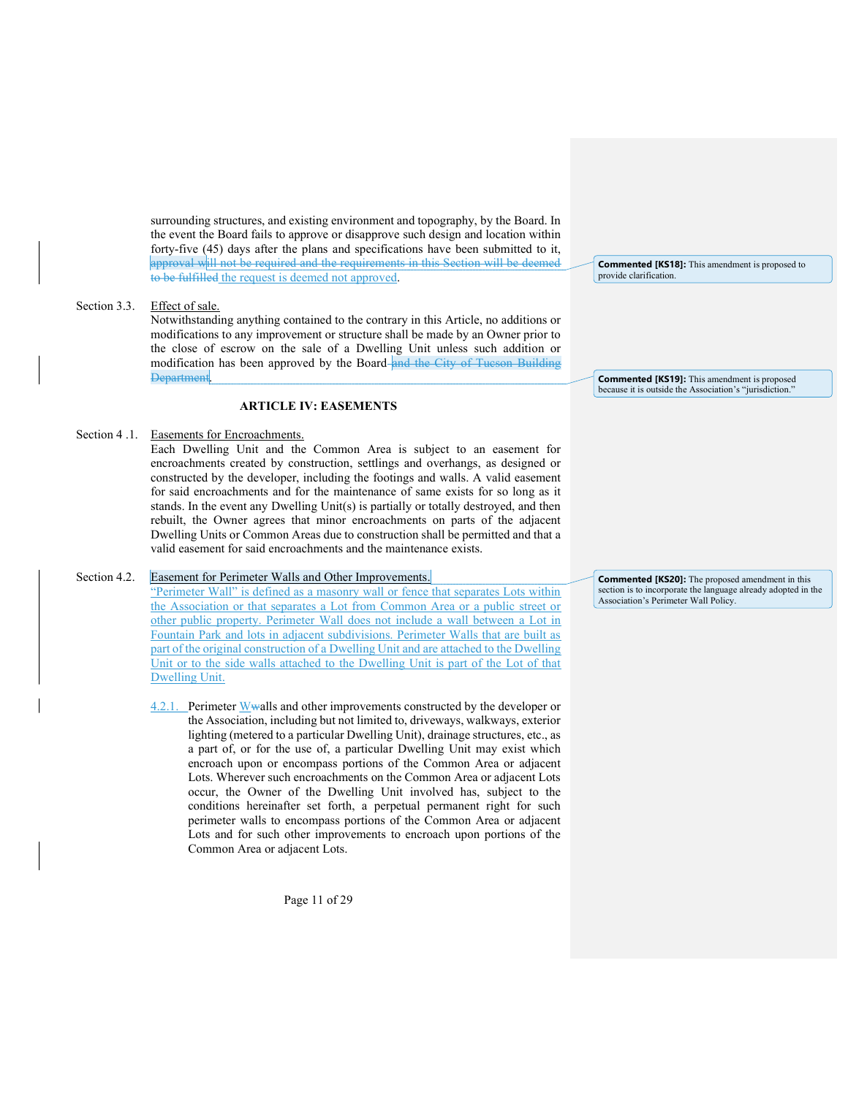surrounding structures, and existing environment and topography, by the Board. In the event the Board fails to approve or disapprove such design and location within forty-five (45) days after the plans and specifications have been submitted to it, approval will not be required and the requirements in this Section will be deemed to be fulfilled the request is deemed not approved.

# Section 3.3. Effect of sale.

Notwithstanding anything contained to the contrary in this Article, no additions or modifications to any improvement or structure shall be made by an Owner prior to the close of escrow on the sale of a Dwelling Unit unless such addition or modification has been approved by the Board and the City of Tueson Building **Department** 

# ARTICLE IV: EASEMENTS

# Section 4.1. Easements for Encroachments.

Each Dwelling Unit and the Common Area is subject to an easement for encroachments created by construction, settlings and overhangs, as designed or constructed by the developer, including the footings and walls. A valid easement for said encroachments and for the maintenance of same exists for so long as it stands. In the event any Dwelling Unit(s) is partially or totally destroyed, and then rebuilt, the Owner agrees that minor encroachments on parts of the adjacent Dwelling Units or Common Areas due to construction shall be permitted and that a valid easement for said encroachments and the maintenance exists.

### Section 4.2. Easement for Perimeter Walls and Other Improvements.

"Perimeter Wall" is defined as a masonry wall or fence that separates Lots within the Association or that separates a Lot from Common Area or a public street or other public property. Perimeter Wall does not include a wall between a Lot in Fountain Park and lots in adjacent subdivisions. Perimeter Walls that are built as part of the original construction of a Dwelling Unit and are attached to the Dwelling Unit or to the side walls attached to the Dwelling Unit is part of the Lot of that Dwelling Unit.

4.2.1. Perimeter Wwalls and other improvements constructed by the developer or the Association, including but not limited to, driveways, walkways, exterior lighting (metered to a particular Dwelling Unit), drainage structures, etc., as a part of, or for the use of, a particular Dwelling Unit may exist which encroach upon or encompass portions of the Common Area or adjacent Lots. Wherever such encroachments on the Common Area or adjacent Lots occur, the Owner of the Dwelling Unit involved has, subject to the conditions hereinafter set forth, a perpetual permanent right for such perimeter walls to encompass portions of the Common Area or adjacent Lots and for such other improvements to encroach upon portions of the Common Area or adjacent Lots.

Page 11 of 29

Commented [KS18]: This amendment is proposed to provide clarification.

Commented [KS19]: This amendment is proposed because it is outside the Association's "jurisdiction."

Commented [KS20]: The proposed amendment in this section is to incorporate the language already adopted in the Association's Perimeter Wall Policy.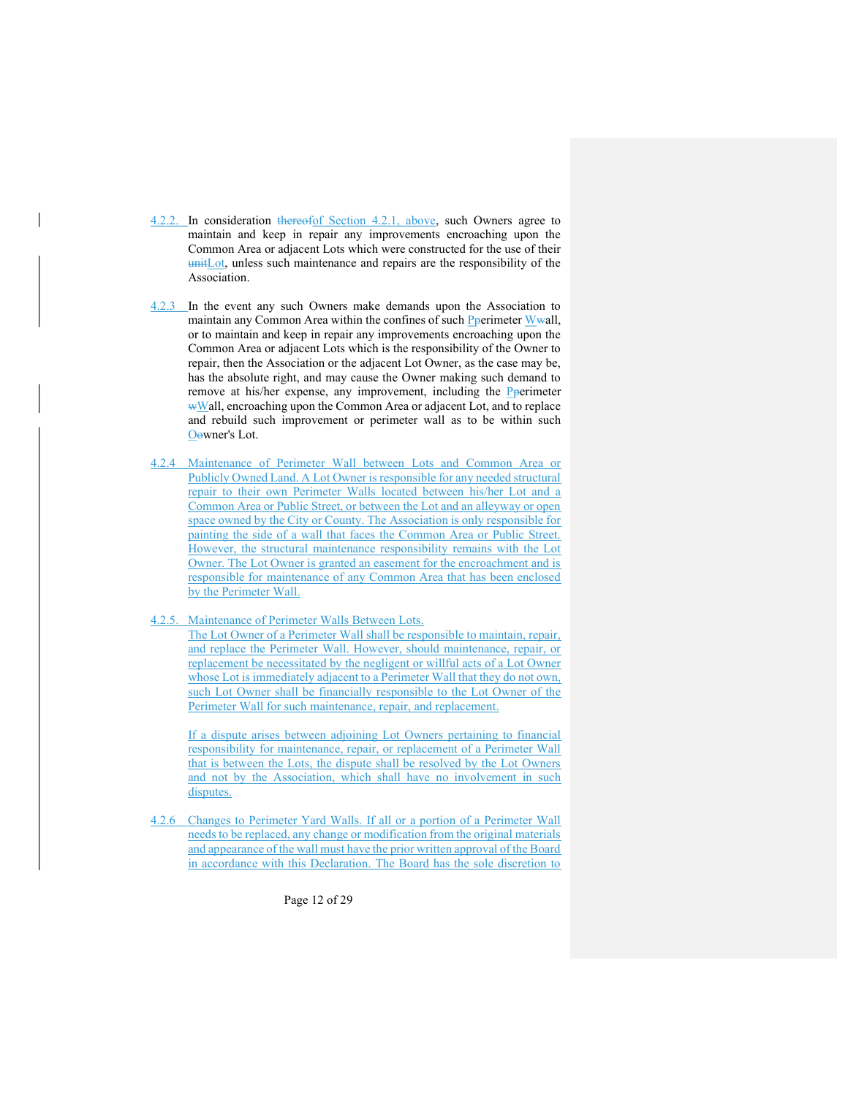- 4.2.2. In consideration thereofof Section 4.2.1, above, such Owners agree to maintain and keep in repair any improvements encroaching upon the Common Area or adjacent Lots which were constructed for the use of their unitLot, unless such maintenance and repairs are the responsibility of the Association.
- 4.2.3 In the event any such Owners make demands upon the Association to maintain any Common Area within the confines of such Pperimeter Wwall, or to maintain and keep in repair any improvements encroaching upon the Common Area or adjacent Lots which is the responsibility of the Owner to repair, then the Association or the adjacent Lot Owner, as the case may be, has the absolute right, and may cause the Owner making such demand to remove at his/her expense, any improvement, including the Pperimeter wWall, encroaching upon the Common Area or adjacent Lot, and to replace and rebuild such improvement or perimeter wall as to be within such Oowner's Lot.
- 4.2.4 Maintenance of Perimeter Wall between Lots and Common Area or Publicly Owned Land. A Lot Owner is responsible for any needed structural repair to their own Perimeter Walls located between his/her Lot and a Common Area or Public Street, or between the Lot and an alleyway or open space owned by the City or County. The Association is only responsible for painting the side of a wall that faces the Common Area or Public Street. However, the structural maintenance responsibility remains with the Lot Owner. The Lot Owner is granted an easement for the encroachment and is responsible for maintenance of any Common Area that has been enclosed by the Perimeter Wall.
- 4.2.5. Maintenance of Perimeter Walls Between Lots.

The Lot Owner of a Perimeter Wall shall be responsible to maintain, repair, and replace the Perimeter Wall. However, should maintenance, repair, or replacement be necessitated by the negligent or willful acts of a Lot Owner whose Lot is immediately adjacent to a Perimeter Wall that they do not own, such Lot Owner shall be financially responsible to the Lot Owner of the Perimeter Wall for such maintenance, repair, and replacement.

If a dispute arises between adjoining Lot Owners pertaining to financial responsibility for maintenance, repair, or replacement of a Perimeter Wall that is between the Lots, the dispute shall be resolved by the Lot Owners and not by the Association, which shall have no involvement in such disputes.

4.2.6 Changes to Perimeter Yard Walls. If all or a portion of a Perimeter Wall needs to be replaced, any change or modification from the original materials and appearance of the wall must have the prior written approval of the Board in accordance with this Declaration. The Board has the sole discretion to

Page 12 of 29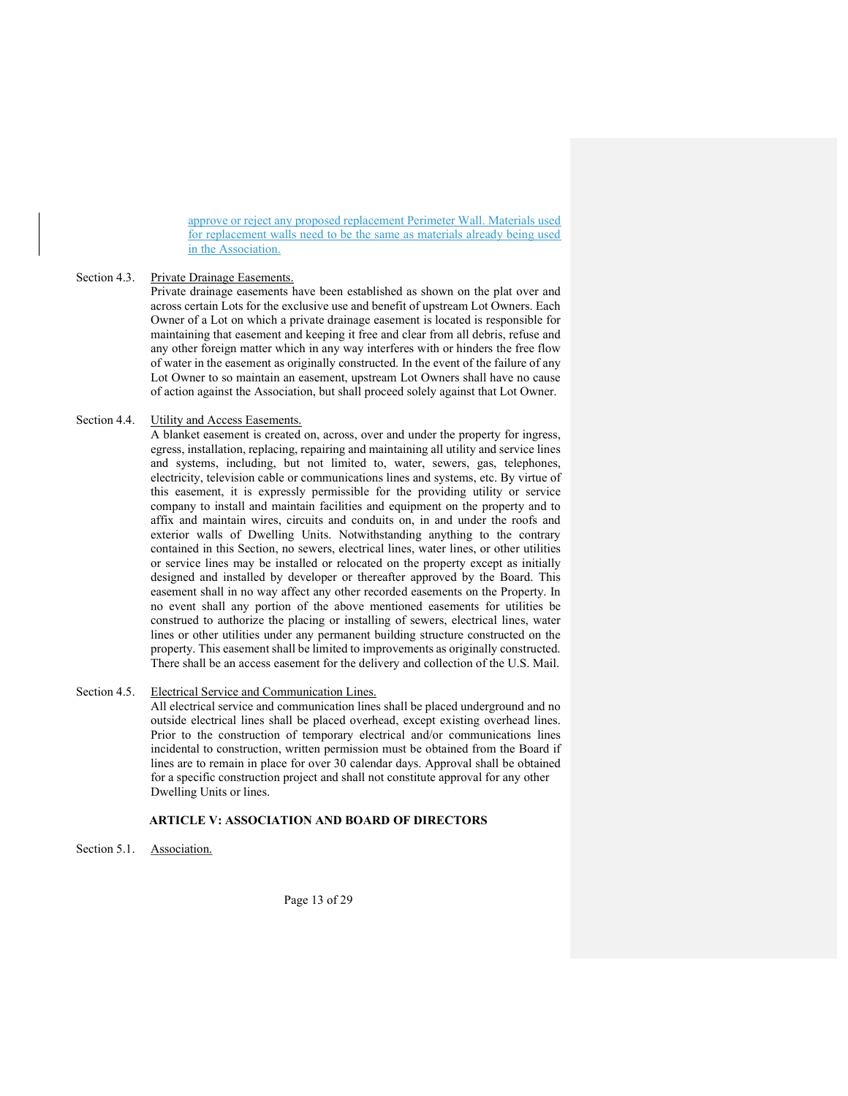approve or reject any proposed replacement Perimeter Wall. Materials used for replacement walls need to be the same as materials already being used in the Association.

### Section 4.3. Private Drainage Easements.

Private drainage easements have been established as shown on the plat over and across certain Lots for the exclusive use and benefit of upstream Lot Owners. Each Owner of a Lot on which a private drainage easement is located is responsible for maintaining that easement and keeping it free and clear from all debris, refuse and any other foreign matter which in any way interferes with or hinders the free flow of water in the easement as originally constructed. In the event of the failure of any Lot Owner to so maintain an easement, upstream Lot Owners shall have no cause of action against the Association, but shall proceed solely against that Lot Owner.

# Section 4.4. Utility and Access Easements.

A blanket easement is created on, across, over and under the property for ingress, egress, installation, replacing, repairing and maintaining all utility and service lines and systems, including, but not limited to, water, sewers, gas, telephones, electricity, television cable or communications lines and systems, etc. By virtue of this easement, it is expressly permissible for the providing utility or service company to install and maintain facilities and equipment on the property and to affix and maintain wires, circuits and conduits on, in and under the roofs and exterior walls of Dwelling Units. Notwithstanding anything to the contrary contained in this Section, no sewers, electrical lines, water lines, or other utilities or service lines may be installed or relocated on the property except as initially designed and installed by developer or thereafter approved by the Board. This easement shall in no way affect any other recorded easements on the Property. In no event shall any portion of the above mentioned easements for utilities be construed to authorize the placing or installing of sewers, electrical lines, water lines or other utilities under any permanent building structure constructed on the property. This easement shall be limited to improvements as originally constructed. There shall be an access easement for the delivery and collection of the U.S. Mail.

# Section 4.5. Electrical Service and Communication Lines.

All electrical service and communication lines shall be placed underground and no outside electrical lines shall be placed overhead, except existing overhead lines. Prior to the construction of temporary electrical and/or communications lines incidental to construction, written permission must be obtained from the Board if lines are to remain in place for over 30 calendar days. Approval shall be obtained for a specific construction project and shall not constitute approval for any other Dwelling Units or lines.

# ARTICLE V: ASSOCIATION AND BOARD OF DIRECTORS

Section 5.1. Association.

Page 13 of 29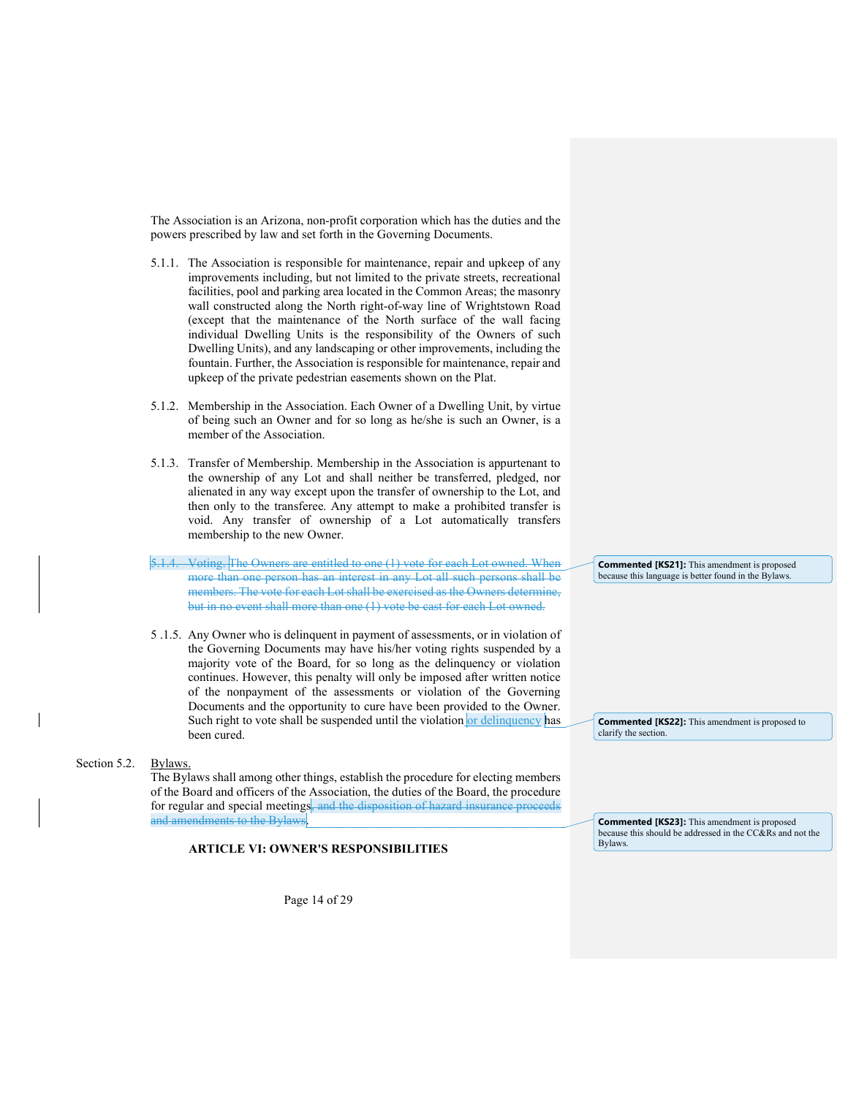The Association is an Arizona, non-profit corporation which has the duties and the powers prescribed by law and set forth in the Governing Documents.

- 5.1.1. The Association is responsible for maintenance, repair and upkeep of any improvements including, but not limited to the private streets, recreational facilities, pool and parking area located in the Common Areas; the masonry wall constructed along the North right-of-way line of Wrightstown Road (except that the maintenance of the North surface of the wall facing individual Dwelling Units is the responsibility of the Owners of such Dwelling Units), and any landscaping or other improvements, including the fountain. Further, the Association is responsible for maintenance, repair and upkeep of the private pedestrian easements shown on the Plat.
- 5.1.2. Membership in the Association. Each Owner of a Dwelling Unit, by virtue of being such an Owner and for so long as he/she is such an Owner, is a member of the Association.
- 5.1.3. Transfer of Membership. Membership in the Association is appurtenant to the ownership of any Lot and shall neither be transferred, pledged, nor alienated in any way except upon the transfer of ownership to the Lot, and then only to the transferee. Any attempt to make a prohibited transfer is void. Any transfer of ownership of a Lot automatically transfers membership to the new Owner.
- Voting. The Owners are entitled to one (1) vote for each Lot owned. When more than one person has an interest in any Lot all such persons shall be members. The vote for each Lot shall be exercised as the Owners determine, but in no event shall more than one (1) vote be cast for each Lot owned.
- 5 .1.5. Any Owner who is delinquent in payment of assessments, or in violation of the Governing Documents may have his/her voting rights suspended by a majority vote of the Board, for so long as the delinquency or violation continues. However, this penalty will only be imposed after written notice of the nonpayment of the assessments or violation of the Governing Documents and the opportunity to cure have been provided to the Owner. Such right to vote shall be suspended until the violation or delinquency has been cured.

#### Section 5.2. Bylaws.

The Bylaws shall among other things, establish the procedure for electing members of the Board and officers of the Association, the duties of the Board, the procedure for regular and special meetings, and the disposition of hazard insurance proceeds and amendments to the Bylaws

# ARTICLE VI: OWNER'S RESPONSIBILITIES

Page 14 of 29

Commented [KS21]: This amendment is proposed because this language is better found in the Bylaws.

Commented [KS22]: This amendment is proposed to clarify the section.

Commented [KS23]: This amendment is proposed because this should be addressed in the CC&Rs and not the Bylaws.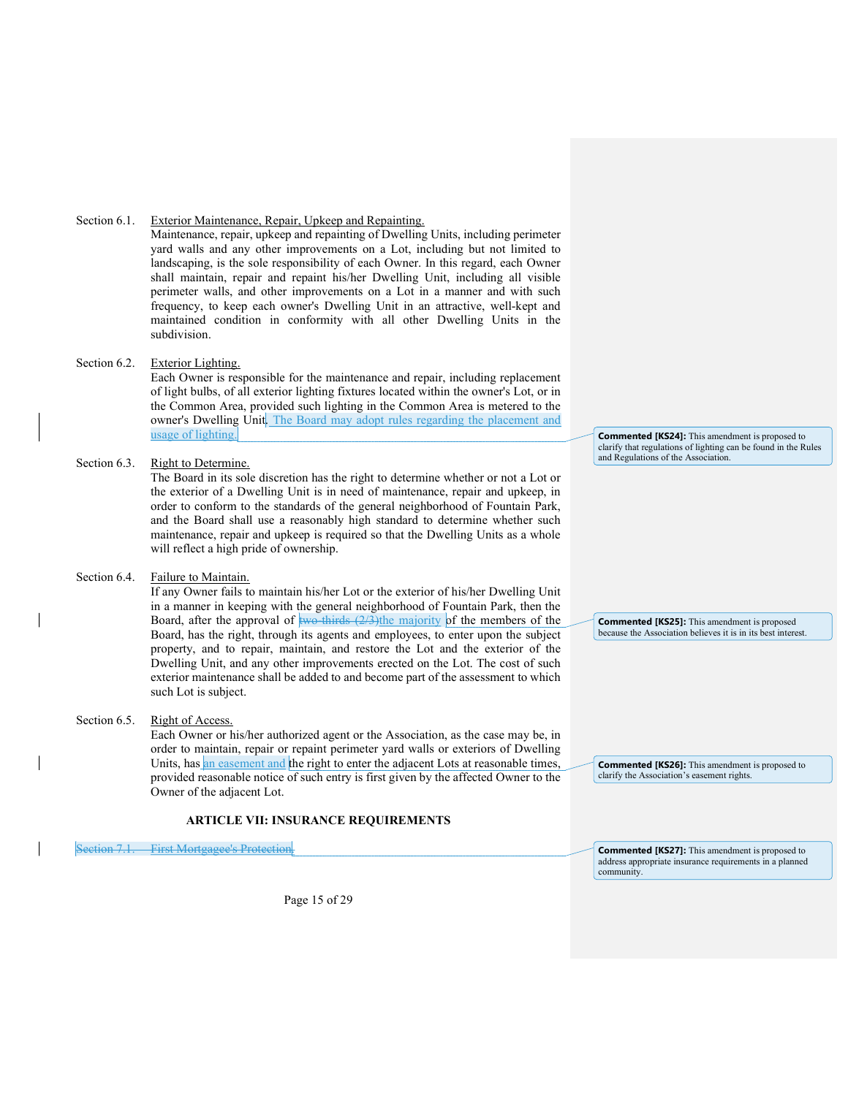# Section 6.1. Exterior Maintenance, Repair, Upkeep and Repainting.

Maintenance, repair, upkeep and repainting of Dwelling Units, including perimeter yard walls and any other improvements on a Lot, including but not limited to landscaping, is the sole responsibility of each Owner. In this regard, each Owner shall maintain, repair and repaint his/her Dwelling Unit, including all visible perimeter walls, and other improvements on a Lot in a manner and with such frequency, to keep each owner's Dwelling Unit in an attractive, well-kept and maintained condition in conformity with all other Dwelling Units in the subdivision.

# Section 6.2. Exterior Lighting.

Each Owner is responsible for the maintenance and repair, including replacement of light bulbs, of all exterior lighting fixtures located within the owner's Lot, or in the Common Area, provided such lighting in the Common Area is metered to the owner's Dwelling Unit. The Board may adopt rules regarding the placement and usage of lighting.

# Section 6.3. Right to Determine.

The Board in its sole discretion has the right to determine whether or not a Lot or the exterior of a Dwelling Unit is in need of maintenance, repair and upkeep, in order to conform to the standards of the general neighborhood of Fountain Park, and the Board shall use a reasonably high standard to determine whether such maintenance, repair and upkeep is required so that the Dwelling Units as a whole will reflect a high pride of ownership.

# Section 6.4. Failure to Maintain.

If any Owner fails to maintain his/her Lot or the exterior of his/her Dwelling Unit in a manner in keeping with the general neighborhood of Fountain Park, then the Board, after the approval of  $\frac{1}{2}$  two-thirds (2/3)the majority of the members of the Board, has the right, through its agents and employees, to enter upon the subject property, and to repair, maintain, and restore the Lot and the exterior of the Dwelling Unit, and any other improvements erected on the Lot. The cost of such exterior maintenance shall be added to and become part of the assessment to which such Lot is subject.

### Section 6.5. Right of Access.

Each Owner or his/her authorized agent or the Association, as the case may be, in order to maintain, repair or repaint perimeter yard walls or exteriors of Dwelling Units, has an easement and the right to enter the adjacent Lots at reasonable times, provided reasonable notice of such entry is first given by the affected Owner to the Owner of the adjacent Lot.

# ARTICLE VII: INSURANCE REQUIREMENTS

Section 7.1. First Mortgagee's Protection

Page 15 of 29

Commented [KS24]: This amendment is proposed to clarify that regulations of lighting can be found in the Rules and Regulations of the Association.

Commented [KS25]: This amendment is proposed because the Association believes it is in its best interest.

Commented [KS26]: This amendment is proposed to clarify the Association's easement rights.

Commented [KS27]: This amendment is proposed to address appropriate insurance requirements in a planned community.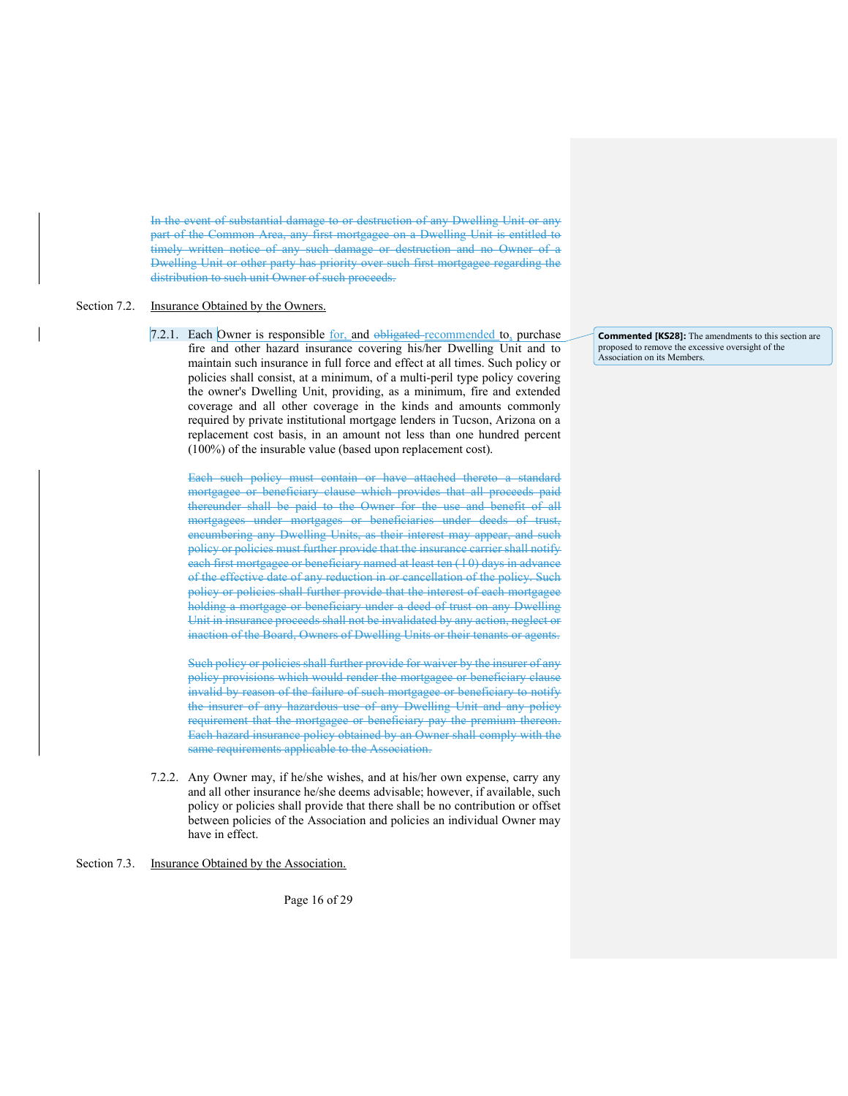In the event of substantial damage to or destruction of any Dwelling Unit or any part of the Common Area, any first mortgagee on a Dwelling Unit is entitled to timely written notice of any such damage or destruction and no Owner of a Dwelling Unit or other party has priority over such first mortgagee regarding the distribution to such unit Owner of such proceeds.

### Section 7.2. Insurance Obtained by the Owners.

7.2.1. Each Owner is responsible  $for$ , and obligated recommended to, purchase</u> fire and other hazard insurance covering his/her Dwelling Unit and to maintain such insurance in full force and effect at all times. Such policy or policies shall consist, at a minimum, of a multi-peril type policy covering the owner's Dwelling Unit, providing, as a minimum, fire and extended coverage and all other coverage in the kinds and amounts commonly required by private institutional mortgage lenders in Tucson, Arizona on a replacement cost basis, in an amount not less than one hundred percent (100%) of the insurable value (based upon replacement cost).

Each such policy must contain or have attached thereto a standard mortgagee or beneficiary clause which provides that all proceeds paid thereunder shall be paid to the Owner for the use and benefit of all mortgagees under mortgages or beneficiaries under deeds of trust, encumbering any Dwelling Units, as their interest may appear, and such policy or policies must further provide that the insurance carrier shall notify each first mortgagee or beneficiary named at least ten (10) days in advance of the effective date of any reduction in or cancellation of the policy. Such policy or policies shall further provide that the interest of each mortgagee holding a mortgage or beneficiary under a deed of trust on any Dwelling Unit in insurance proceeds shall not be invalidated by any action, neglect or inaction of the Board, Owners of Dwelling Units or their tenants or agents.

Such policy or policies shall further provide for waiver by the insurer of any policy provisions which would render the mortgagee or beneficiary clause invalid by reason of the failure of such mortgagee or beneficiary to notify the insurer of any hazardous use of any Dwelling Unit and any policy requirement that the mortgagee or beneficiary pay the premium thereon. Each hazard insurance policy obtained by an Owner shall comply with the same requirements applicable to the Association.

7.2.2. Any Owner may, if he/she wishes, and at his/her own expense, carry any and all other insurance he/she deems advisable; however, if available, such policy or policies shall provide that there shall be no contribution or offset between policies of the Association and policies an individual Owner may have in effect.

### Section 7.3. Insurance Obtained by the Association.

Page 16 of 29

Commented [KS28]: The amendments to this section are proposed to remove the excessive oversight of the Association on its Members.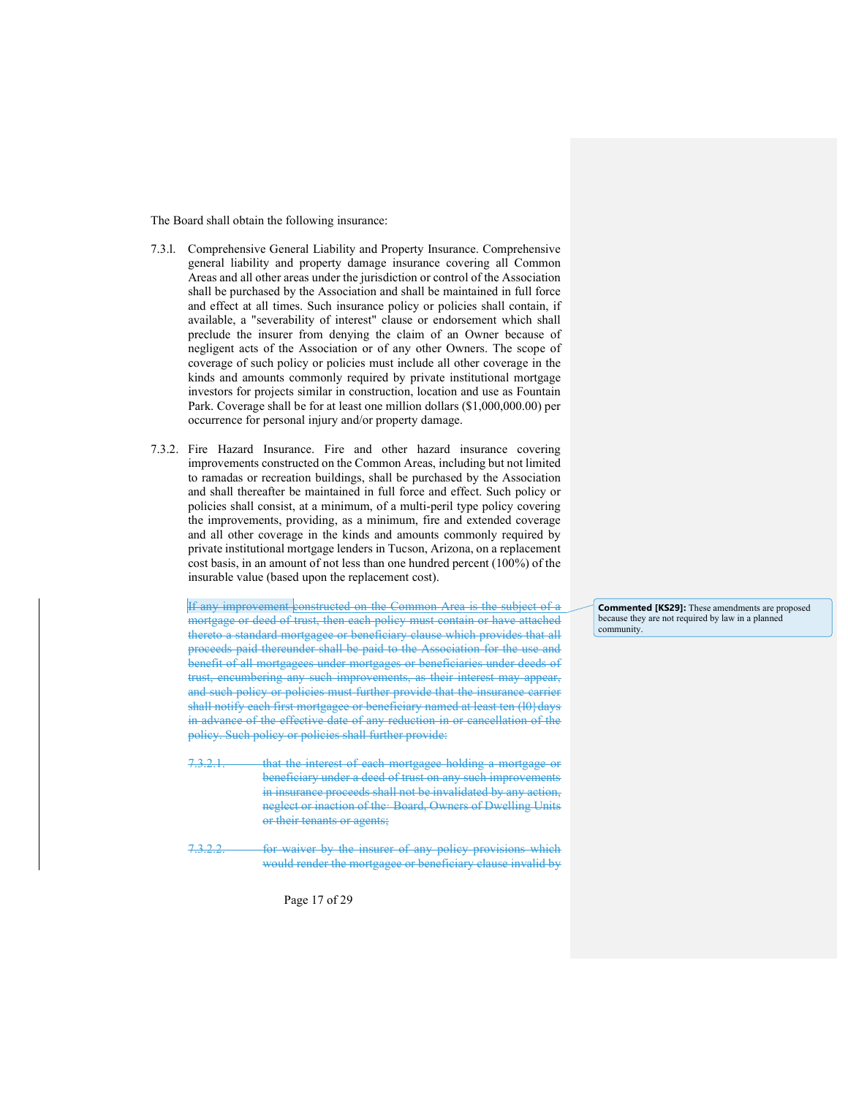The Board shall obtain the following insurance:

- 7.3.l. Comprehensive General Liability and Property Insurance. Comprehensive general liability and property damage insurance covering all Common Areas and all other areas under the jurisdiction or control of the Association shall be purchased by the Association and shall be maintained in full force and effect at all times. Such insurance policy or policies shall contain, if available, a "severability of interest" clause or endorsement which shall preclude the insurer from denying the claim of an Owner because of negligent acts of the Association or of any other Owners. The scope of coverage of such policy or policies must include all other coverage in the kinds and amounts commonly required by private institutional mortgage investors for projects similar in construction, location and use as Fountain Park. Coverage shall be for at least one million dollars (\$1,000,000.00) per occurrence for personal injury and/or property damage.
- 7.3.2. Fire Hazard Insurance. Fire and other hazard insurance covering improvements constructed on the Common Areas, including but not limited to ramadas or recreation buildings, shall be purchased by the Association and shall thereafter be maintained in full force and effect. Such policy or policies shall consist, at a minimum, of a multi-peril type policy covering the improvements, providing, as a minimum, fire and extended coverage and all other coverage in the kinds and amounts commonly required by private institutional mortgage lenders in Tucson, Arizona, on a replacement cost basis, in an amount of not less than one hundred percent (100%) of the insurable value (based upon the replacement cost).

If any improvement constructed on the Common Area is the subject of a mortgage or deed of trust, then each policy must contain or have attached thereto a standard mortgagee or beneficiary clause which provides that all proceeds paid thereunder shall be paid to the Association for the use and benefit of all mortgagees under mortgages or beneficiaries under deeds of trust, encumbering any such improvements, as their interest may appear, and such policy or policies must further provide that the insurance carrier shall notify each first mortgagee or beneficiary named at least ten (10) days in advance of the effective date of any reduction in or cancellation of the policy. Such policy or policies shall further provide:

- that the interest of each mortgagee holding a mortgage or beneficiary under a deed of trust on any such improvements in insurance proceeds shall not be invalidated by any action, neglect or inaction of the· Board, Owners of Dwelling Units or their tenants or agents;
- 7.3.2.2. for waiver by the insurer of any policy provisions which would render the mortgagee or beneficiary clause invalid by

Commented [KS29]: These amendments are proposed because they are not required by law in a planned community.

Page 17 of 29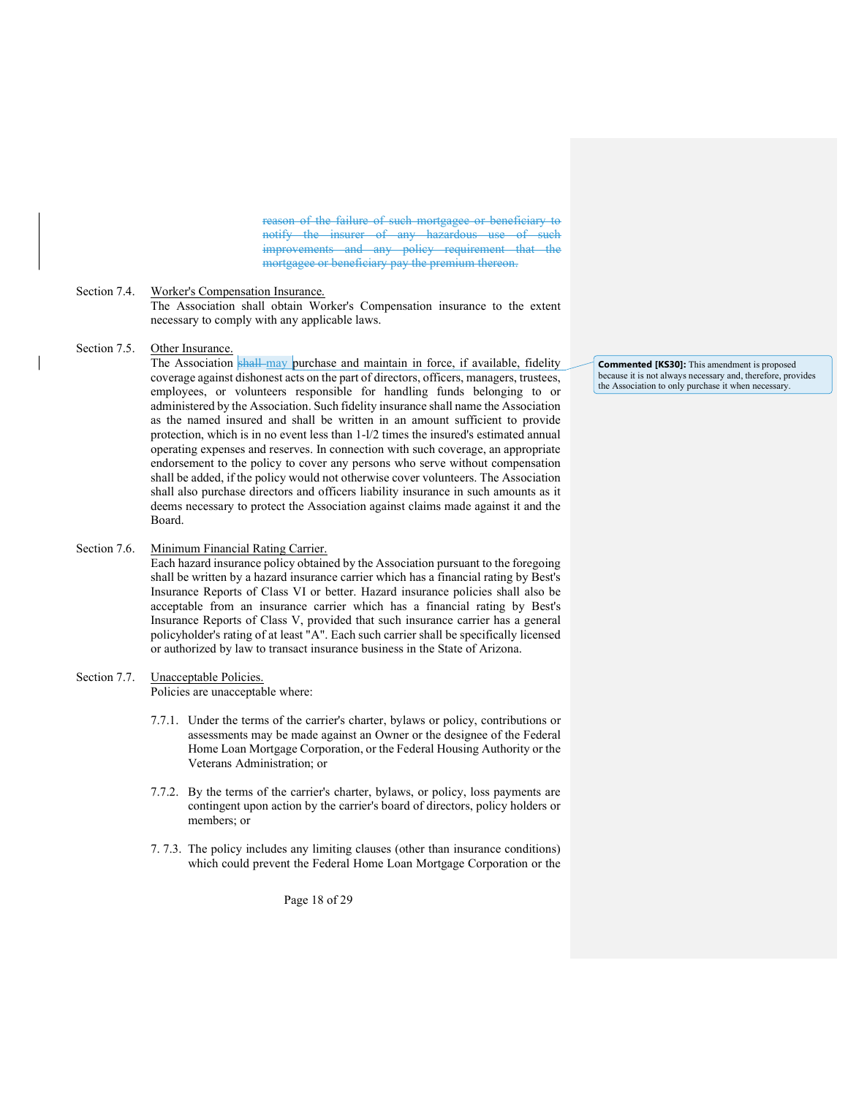reason of the failure of such mortgagee or beneficiary to notify the insurer of any hazardous use of improvements and any policy requirement that the mortgagee or beneficiary pay the premium thereon.

### Section 7.4. Worker's Compensation Insurance.

The Association shall obtain Worker's Compensation insurance to the extent necessary to comply with any applicable laws.

### Section 7.5. Other Insurance.

The Association shall may purchase and maintain in force, if available, fidelity coverage against dishonest acts on the part of directors, officers, managers, trustees, employees, or volunteers responsible for handling funds belonging to or administered by the Association. Such fidelity insurance shall name the Association as the named insured and shall be written in an amount sufficient to provide protection, which is in no event less than 1-l/2 times the insured's estimated annual operating expenses and reserves. In connection with such coverage, an appropriate endorsement to the policy to cover any persons who serve without compensation shall be added, if the policy would not otherwise cover volunteers. The Association shall also purchase directors and officers liability insurance in such amounts as it deems necessary to protect the Association against claims made against it and the Board.

# Section 7.6. Minimum Financial Rating Carrier.

Each hazard insurance policy obtained by the Association pursuant to the foregoing shall be written by a hazard insurance carrier which has a financial rating by Best's Insurance Reports of Class VI or better. Hazard insurance policies shall also be acceptable from an insurance carrier which has a financial rating by Best's Insurance Reports of Class V, provided that such insurance carrier has a general policyholder's rating of at least "A". Each such carrier shall be specifically licensed or authorized by law to transact insurance business in the State of Arizona.

# Section 7.7. Unacceptable Policies.

Policies are unacceptable where:

- 7.7.1. Under the terms of the carrier's charter, bylaws or policy, contributions or assessments may be made against an Owner or the designee of the Federal Home Loan Mortgage Corporation, or the Federal Housing Authority or the Veterans Administration; or
- 7.7.2. By the terms of the carrier's charter, bylaws, or policy, loss payments are contingent upon action by the carrier's board of directors, policy holders or members; or
- 7. 7.3. The policy includes any limiting clauses (other than insurance conditions) which could prevent the Federal Home Loan Mortgage Corporation or the

Commented [KS30]: This amendment is proposed because it is not always necessary and, therefore, provides the Association to only purchase it when necessary.

Page 18 of 29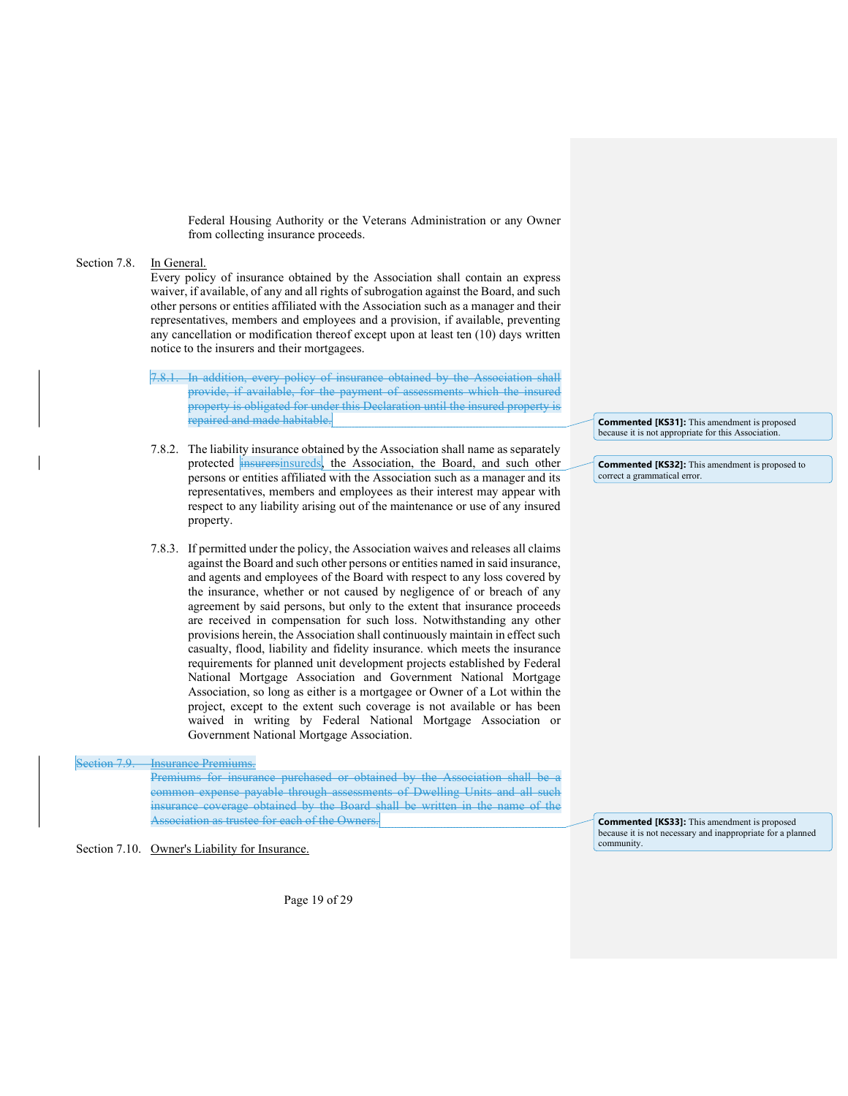Federal Housing Authority or the Veterans Administration or any Owner from collecting insurance proceeds.

### Section 7.8. In General.

Every policy of insurance obtained by the Association shall contain an express waiver, if available, of any and all rights of subrogation against the Board, and such other persons or entities affiliated with the Association such as a manager and their representatives, members and employees and a provision, if available, preventing any cancellation or modification thereof except upon at least ten (10) days written notice to the insurers and their mortgagees.

- In addition, every policy of insurance obtained by the Association shall provide, if available, for the payment of assessments which the insured property is obligated for under this Declaration until the insured property is repaired and made habitable.
- 7.8.2. The liability insurance obtained by the Association shall name as separately protected insurersinsureds, the Association, the Board, and such other persons or entities affiliated with the Association such as a manager and its representatives, members and employees as their interest may appear with respect to any liability arising out of the maintenance or use of any insured property.
- 7.8.3. If permitted under the policy, the Association waives and releases all claims against the Board and such other persons or entities named in said insurance, and agents and employees of the Board with respect to any loss covered by the insurance, whether or not caused by negligence of or breach of any agreement by said persons, but only to the extent that insurance proceeds are received in compensation for such loss. Notwithstanding any other provisions herein, the Association shall continuously maintain in effect such casualty, flood, liability and fidelity insurance. which meets the insurance requirements for planned unit development projects established by Federal National Mortgage Association and Government National Mortgage Association, so long as either is a mortgagee or Owner of a Lot within the project, except to the extent such coverage is not available or has been waived in writing by Federal National Mortgage Association or Government National Mortgage Association.

# Section 7.9. Insurance Premiums.

Premiums for insurance purchased or obtained by the Association shall be a common expense payable through assessments of Dwelling Units and all such insurance coverage obtained by the Board shall be written in the name of the Association as trustee for each of the Owners.

Section 7.10. Owner's Liability for Insurance.

Page 19 of 29

Commented [KS31]: This amendment is proposed because it is not appropriate for this Association.

Commented [KS32]: This amendment is proposed to correct a grammatical error.

Commented [KS33]: This amendment is proposed because it is not necessary and inappropriate for a planned community.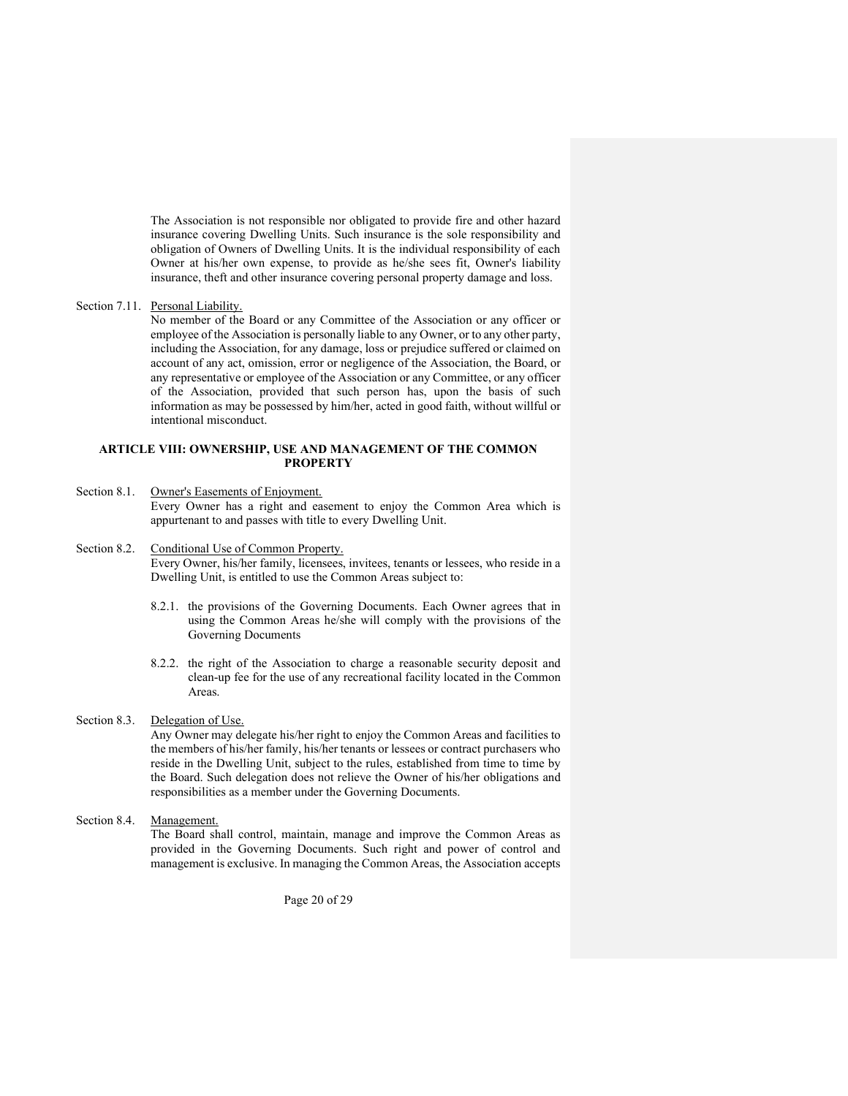The Association is not responsible nor obligated to provide fire and other hazard insurance covering Dwelling Units. Such insurance is the sole responsibility and obligation of Owners of Dwelling Units. It is the individual responsibility of each Owner at his/her own expense, to provide as he/she sees fit, Owner's liability insurance, theft and other insurance covering personal property damage and loss.

# Section 7.11. Personal Liability.

No member of the Board or any Committee of the Association or any officer or employee of the Association is personally liable to any Owner, or to any other party, including the Association, for any damage, loss or prejudice suffered or claimed on account of any act, omission, error or negligence of the Association, the Board, or any representative or employee of the Association or any Committee, or any officer of the Association, provided that such person has, upon the basis of such information as may be possessed by him/her, acted in good faith, without willful or intentional misconduct.

#### ARTICLE VIII: OWNERSHIP, USE AND MANAGEMENT OF THE COMMON **PROPERTY**

### Section 8.1. Owner's Easements of Enjoyment.

Every Owner has a right and easement to enjoy the Common Area which is appurtenant to and passes with title to every Dwelling Unit.

# Section 8.2. Conditional Use of Common Property.

Every Owner, his/her family, licensees, invitees, tenants or lessees, who reside in a Dwelling Unit, is entitled to use the Common Areas subject to:

- 8.2.1. the provisions of the Governing Documents. Each Owner agrees that in using the Common Areas he/she will comply with the provisions of the Governing Documents
- 8.2.2. the right of the Association to charge a reasonable security deposit and clean-up fee for the use of any recreational facility located in the Common Areas.

### Section 8.3. Delegation of Use.

Any Owner may delegate his/her right to enjoy the Common Areas and facilities to the members of his/her family, his/her tenants or lessees or contract purchasers who reside in the Dwelling Unit, subject to the rules, established from time to time by the Board. Such delegation does not relieve the Owner of his/her obligations and responsibilities as a member under the Governing Documents.

Section 8.4. Management.

The Board shall control, maintain, manage and improve the Common Areas as provided in the Governing Documents. Such right and power of control and management is exclusive. In managing the Common Areas, the Association accepts

Page 20 of 29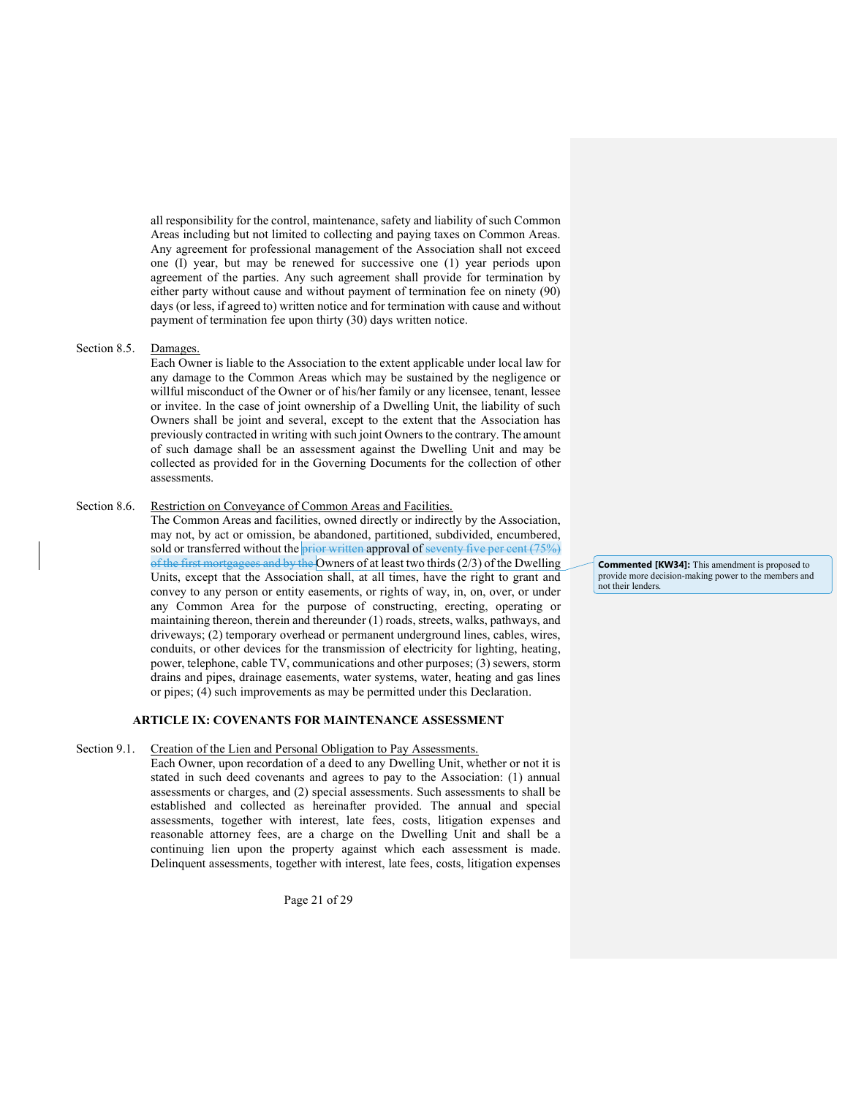all responsibility for the control, maintenance, safety and liability of such Common Areas including but not limited to collecting and paying taxes on Common Areas. Any agreement for professional management of the Association shall not exceed one (I) year, but may be renewed for successive one (1) year periods upon agreement of the parties. Any such agreement shall provide for termination by either party without cause and without payment of termination fee on ninety (90) days (or less, if agreed to) written notice and for termination with cause and without payment of termination fee upon thirty (30) days written notice.

### Section 8.5. Damages.

Each Owner is liable to the Association to the extent applicable under local law for any damage to the Common Areas which may be sustained by the negligence or willful misconduct of the Owner or of his/her family or any licensee, tenant, lessee or invitee. In the case of joint ownership of a Dwelling Unit, the liability of such Owners shall be joint and several, except to the extent that the Association has previously contracted in writing with such joint Owners to the contrary. The amount of such damage shall be an assessment against the Dwelling Unit and may be collected as provided for in the Governing Documents for the collection of other assessments.

### Section 8.6. Restriction on Conveyance of Common Areas and Facilities.

The Common Areas and facilities, owned directly or indirectly by the Association, may not, by act or omission, be abandoned, partitioned, subdivided, encumbered, sold or transferred without the prior written approval of seventy five per cent  $(75%)$ of the first mortgagees and by the Owners of at least two thirds (2/3) of the Dwelling Units, except that the Association shall, at all times, have the right to grant and convey to any person or entity easements, or rights of way, in, on, over, or under any Common Area for the purpose of constructing, erecting, operating or maintaining thereon, therein and thereunder (1) roads, streets, walks, pathways, and driveways; (2) temporary overhead or permanent underground lines, cables, wires, conduits, or other devices for the transmission of electricity for lighting, heating, power, telephone, cable TV, communications and other purposes; (3) sewers, storm drains and pipes, drainage easements, water systems, water, heating and gas lines or pipes; (4) such improvements as may be permitted under this Declaration.

### ARTICLE IX: COVENANTS FOR MAINTENANCE ASSESSMENT

#### Section 9.1. Creation of the Lien and Personal Obligation to Pay Assessments.

Each Owner, upon recordation of a deed to any Dwelling Unit, whether or not it is stated in such deed covenants and agrees to pay to the Association: (1) annual assessments or charges, and (2) special assessments. Such assessments to shall be established and collected as hereinafter provided. The annual and special assessments, together with interest, late fees, costs, litigation expenses and reasonable attorney fees, are a charge on the Dwelling Unit and shall be a continuing lien upon the property against which each assessment is made. Delinquent assessments, together with interest, late fees, costs, litigation expenses

Page 21 of 29

Commented [KW34]: This amendment is proposed to provide more decision-making power to the members and not their lenders.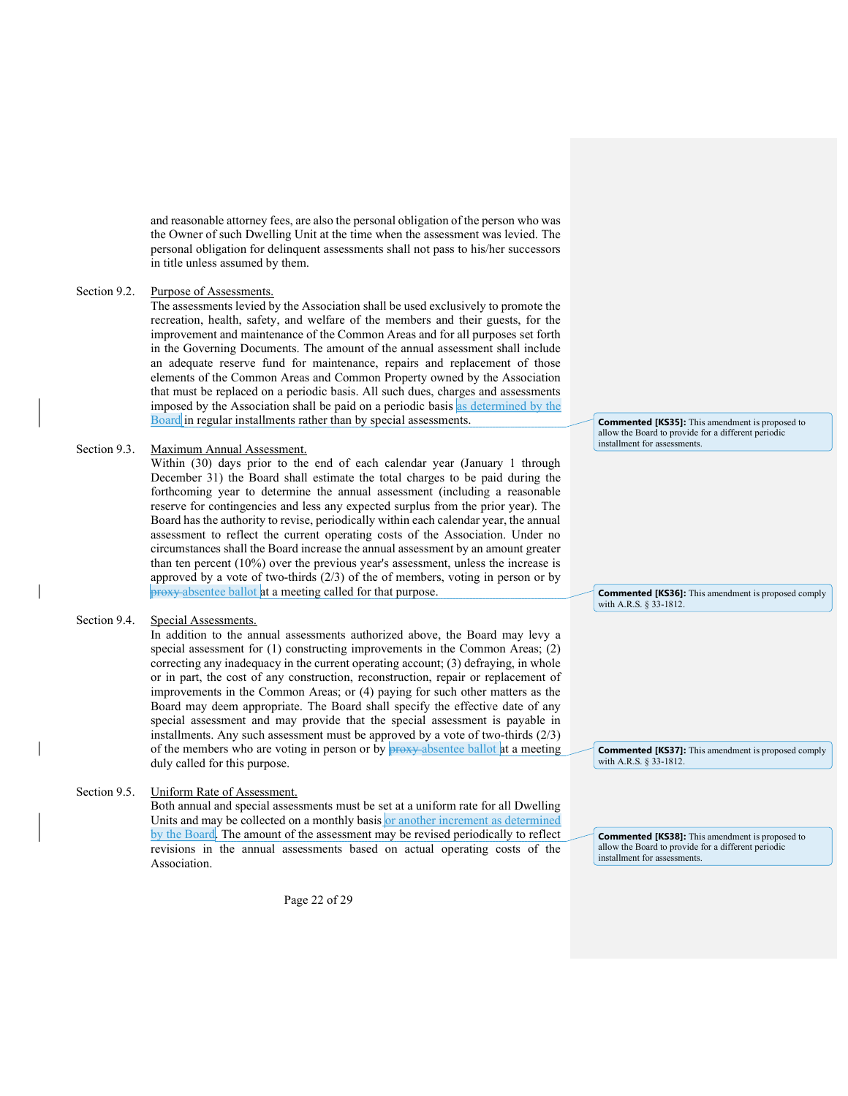and reasonable attorney fees, are also the personal obligation of the person who was the Owner of such Dwelling Unit at the time when the assessment was levied. The personal obligation for delinquent assessments shall not pass to his/her successors in title unless assumed by them.

### Section 9.2. Purpose of Assessments.

The assessments levied by the Association shall be used exclusively to promote the recreation, health, safety, and welfare of the members and their guests, for the improvement and maintenance of the Common Areas and for all purposes set forth in the Governing Documents. The amount of the annual assessment shall include an adequate reserve fund for maintenance, repairs and replacement of those elements of the Common Areas and Common Property owned by the Association that must be replaced on a periodic basis. All such dues, charges and assessments imposed by the Association shall be paid on a periodic basis as determined by the Board in regular installments rather than by special assessments.

#### Section 9.3. Maximum Annual Assessment.

Within (30) days prior to the end of each calendar year (January 1 through December 31) the Board shall estimate the total charges to be paid during the forthcoming year to determine the annual assessment (including a reasonable reserve for contingencies and less any expected surplus from the prior year). The Board has the authority to revise, periodically within each calendar year, the annual assessment to reflect the current operating costs of the Association. Under no circumstances shall the Board increase the annual assessment by an amount greater than ten percent (10%) over the previous year's assessment, unless the increase is approved by a vote of two-thirds (2/3) of the of members, voting in person or by proxy absentee ballot at a meeting called for that purpose.

### Section 9.4. Special Assessments.

In addition to the annual assessments authorized above, the Board may levy a special assessment for (1) constructing improvements in the Common Areas; (2) correcting any inadequacy in the current operating account; (3) defraying, in whole or in part, the cost of any construction, reconstruction, repair or replacement of improvements in the Common Areas; or (4) paying for such other matters as the Board may deem appropriate. The Board shall specify the effective date of any special assessment and may provide that the special assessment is payable in installments. Any such assessment must be approved by a vote of two-thirds  $(2/3)$ of the members who are voting in person or by **proxy** absentee ballot at a meeting duly called for this purpose.

### Section 9.5. Uniform Rate of Assessment.

Both annual and special assessments must be set at a uniform rate for all Dwelling Units and may be collected on a monthly basis or another increment as determined by the Board. The amount of the assessment may be revised periodically to reflect revisions in the annual assessments based on actual operating costs of the Association.

Page 22 of 29

Commented [KS35]: This amendment is proposed to allow the Board to provide for a different periodic installment for assessments.

Commented [KS36]: This amendment is proposed comply with A.R.S. § 33-1812

Commented [KS38]: This amendment is proposed to allow the Board to provide for a different periodic installment for assessments.

Commented [KS37]: This amendment is proposed comply

with A.R.S. § 33-1812.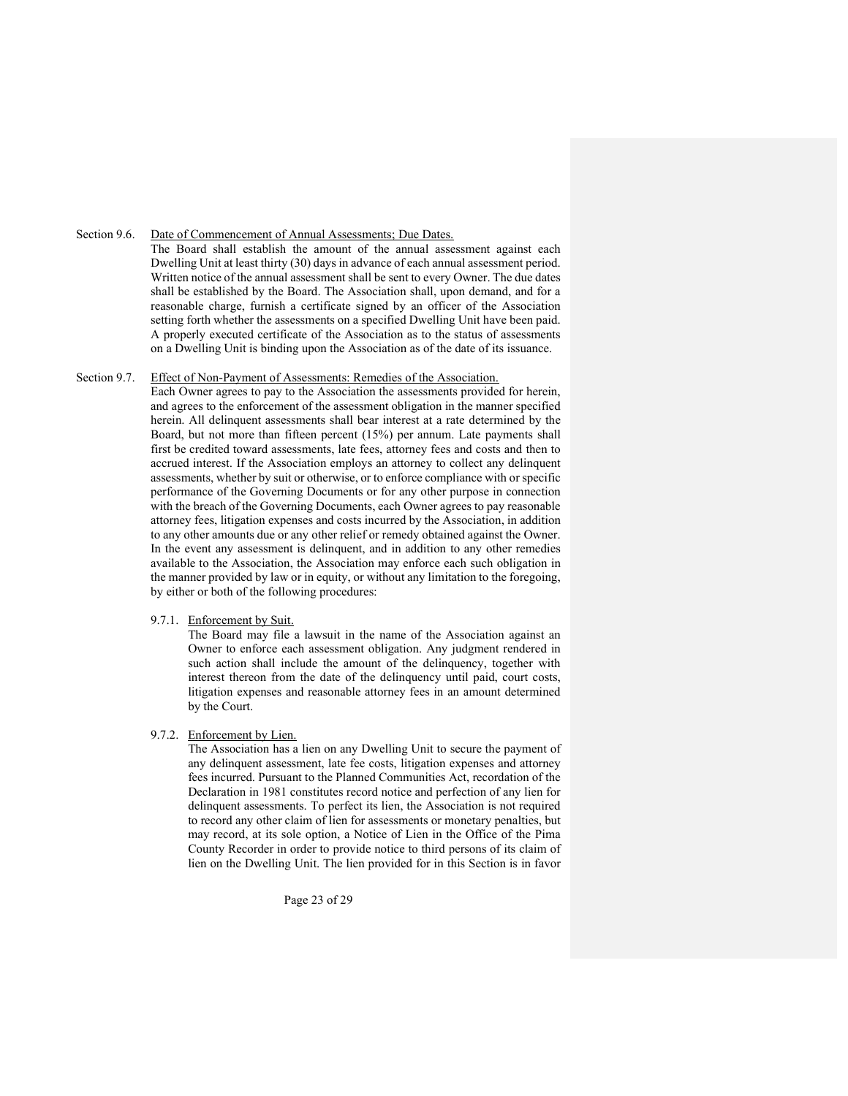Section 9.6. Date of Commencement of Annual Assessments; Due Dates.

The Board shall establish the amount of the annual assessment against each Dwelling Unit at least thirty (30) days in advance of each annual assessment period. Written notice of the annual assessment shall be sent to every Owner. The due dates shall be established by the Board. The Association shall, upon demand, and for a reasonable charge, furnish a certificate signed by an officer of the Association setting forth whether the assessments on a specified Dwelling Unit have been paid. A properly executed certificate of the Association as to the status of assessments on a Dwelling Unit is binding upon the Association as of the date of its issuance.

# Section 9.7. Effect of Non-Payment of Assessments: Remedies of the Association.

Each Owner agrees to pay to the Association the assessments provided for herein, and agrees to the enforcement of the assessment obligation in the manner specified herein. All delinquent assessments shall bear interest at a rate determined by the Board, but not more than fifteen percent (15%) per annum. Late payments shall first be credited toward assessments, late fees, attorney fees and costs and then to accrued interest. If the Association employs an attorney to collect any delinquent assessments, whether by suit or otherwise, or to enforce compliance with or specific performance of the Governing Documents or for any other purpose in connection with the breach of the Governing Documents, each Owner agrees to pay reasonable attorney fees, litigation expenses and costs incurred by the Association, in addition to any other amounts due or any other relief or remedy obtained against the Owner. In the event any assessment is delinquent, and in addition to any other remedies available to the Association, the Association may enforce each such obligation in the manner provided by law or in equity, or without any limitation to the foregoing, by either or both of the following procedures:

### 9.7.1. Enforcement by Suit.

The Board may file a lawsuit in the name of the Association against an Owner to enforce each assessment obligation. Any judgment rendered in such action shall include the amount of the delinquency, together with interest thereon from the date of the delinquency until paid, court costs, litigation expenses and reasonable attorney fees in an amount determined by the Court.

### 9.7.2. Enforcement by Lien.

The Association has a lien on any Dwelling Unit to secure the payment of any delinquent assessment, late fee costs, litigation expenses and attorney fees incurred. Pursuant to the Planned Communities Act, recordation of the Declaration in 1981 constitutes record notice and perfection of any lien for delinquent assessments. To perfect its lien, the Association is not required to record any other claim of lien for assessments or monetary penalties, but may record, at its sole option, a Notice of Lien in the Office of the Pima County Recorder in order to provide notice to third persons of its claim of lien on the Dwelling Unit. The lien provided for in this Section is in favor

Page 23 of 29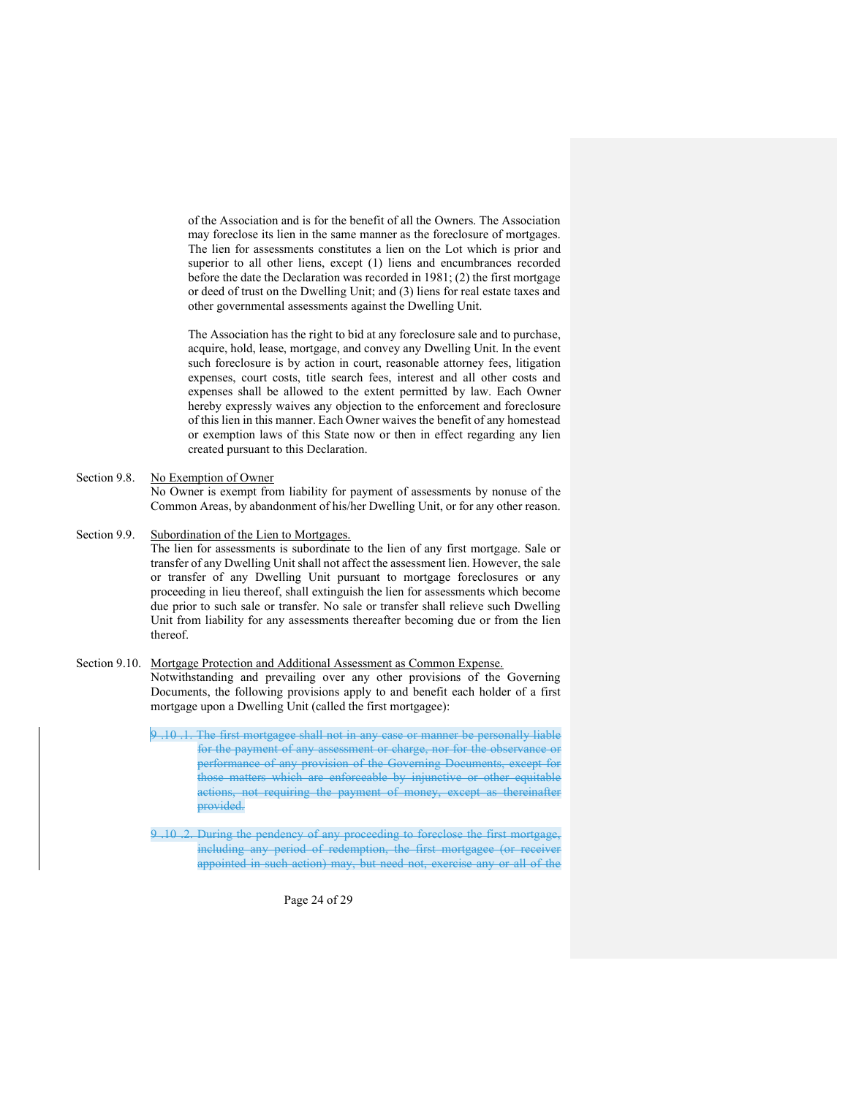of the Association and is for the benefit of all the Owners. The Association may foreclose its lien in the same manner as the foreclosure of mortgages. The lien for assessments constitutes a lien on the Lot which is prior and superior to all other liens, except (1) liens and encumbrances recorded before the date the Declaration was recorded in 1981; (2) the first mortgage or deed of trust on the Dwelling Unit; and (3) liens for real estate taxes and other governmental assessments against the Dwelling Unit.

The Association has the right to bid at any foreclosure sale and to purchase, acquire, hold, lease, mortgage, and convey any Dwelling Unit. In the event such foreclosure is by action in court, reasonable attorney fees, litigation expenses, court costs, title search fees, interest and all other costs and expenses shall be allowed to the extent permitted by law. Each Owner hereby expressly waives any objection to the enforcement and foreclosure of this lien in this manner. Each Owner waives the benefit of any homestead or exemption laws of this State now or then in effect regarding any lien created pursuant to this Declaration.

Section 9.8. No Exemption of Owner

No Owner is exempt from liability for payment of assessments by nonuse of the Common Areas, by abandonment of his/her Dwelling Unit, or for any other reason.

Section 9.9. Subordination of the Lien to Mortgages.

The lien for assessments is subordinate to the lien of any first mortgage. Sale or transfer of any Dwelling Unit shall not affect the assessment lien. However, the sale or transfer of any Dwelling Unit pursuant to mortgage foreclosures or any proceeding in lieu thereof, shall extinguish the lien for assessments which become due prior to such sale or transfer. No sale or transfer shall relieve such Dwelling Unit from liability for any assessments thereafter becoming due or from the lien thereof.

Section 9.10. Mortgage Protection and Additional Assessment as Common Expense. Notwithstanding and prevailing over any other provisions of the Governing Documents, the following provisions apply to and benefit each holder of a first

mortgage upon a Dwelling Unit (called the first mortgagee):

9 .10 .1. The first mortgagee shall not in any case or manner be personally liable for the payment of any assessment or charge, nor for the observance or performance of any provision of the Governing Documents, except for those matters which are enforceable by injunctive or other equitable actions, not requiring the payment of money, except as thereinafter provided.

9 .10 .2. During the pendency of any proceeding to foreclose the first mortgage, including any period of redemption, the first mortgagee (or receiver appointed in such action) may, but need not, exercise any or all of the

Page 24 of 29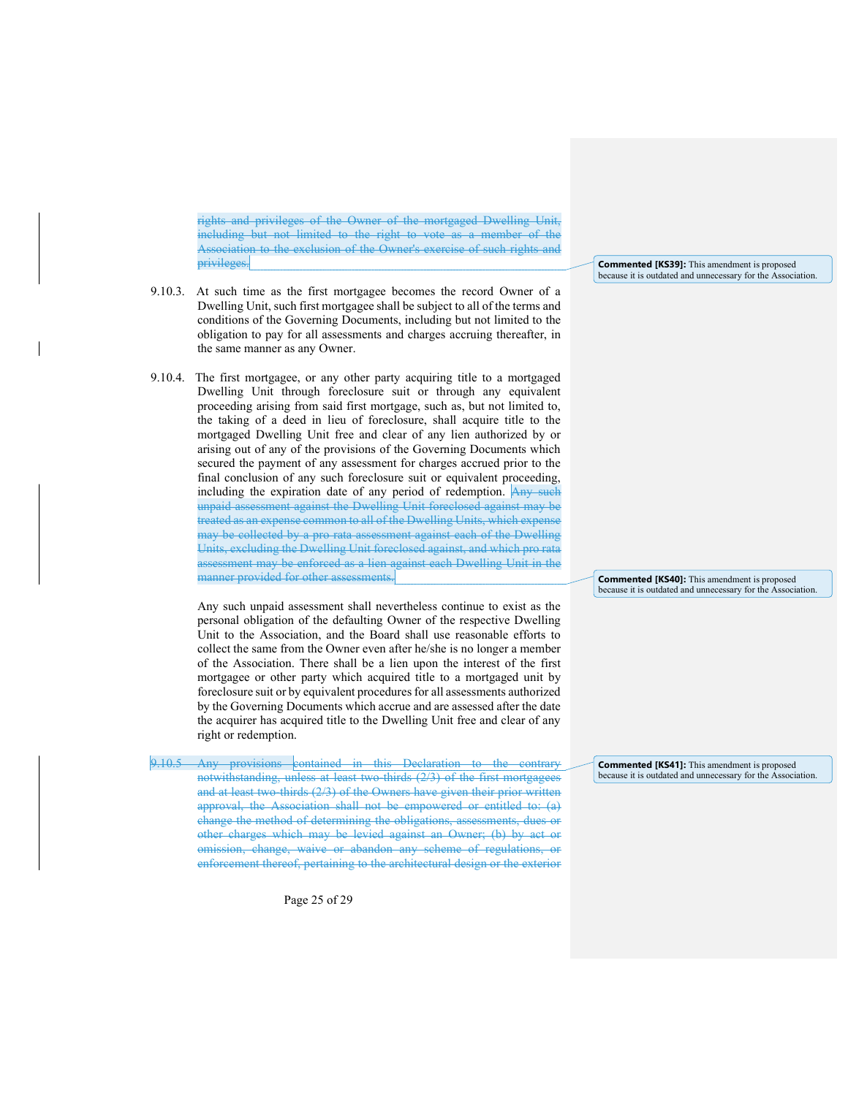rights and privileges of the Owner of the mortgaged Dwelling Unit, including but not limited to the right to vote as a member of the Association to the exclusion of the Owner's exercise of such rights and privileges.

- 9.10.3. At such time as the first mortgagee becomes the record Owner of a Dwelling Unit, such first mortgagee shall be subject to all of the terms and conditions of the Governing Documents, including but not limited to the obligation to pay for all assessments and charges accruing thereafter, in the same manner as any Owner.
- 9.10.4. The first mortgagee, or any other party acquiring title to a mortgaged Dwelling Unit through foreclosure suit or through any equivalent proceeding arising from said first mortgage, such as, but not limited to, the taking of a deed in lieu of foreclosure, shall acquire title to the mortgaged Dwelling Unit free and clear of any lien authorized by or arising out of any of the provisions of the Governing Documents which secured the payment of any assessment for charges accrued prior to the final conclusion of any such foreclosure suit or equivalent proceeding, including the expiration date of any period of redemption. Any such unpaid assessment against the Dwelling Unit foreclosed against may be treated as an expense common to all of the Dwelling Units, which expense may be collected by a pro rata assessment against each of the Dwelling Units, excluding the Dwelling Unit foreclosed against, and which pro rata assessment may be enforced as a lien against each Dwelling Unit in the manner provided for other assessments.

 Any such unpaid assessment shall nevertheless continue to exist as the personal obligation of the defaulting Owner of the respective Dwelling Unit to the Association, and the Board shall use reasonable efforts to collect the same from the Owner even after he/she is no longer a member of the Association. There shall be a lien upon the interest of the first mortgagee or other party which acquired title to a mortgaged unit by foreclosure suit or by equivalent procedures for all assessments authorized by the Governing Documents which accrue and are assessed after the date the acquirer has acquired title to the Dwelling Unit free and clear of any right or redemption.

9.10.5 Any provisions contained in this Declaration to the contrary notwithstanding, unless at least two-thirds (2/3) of the first mortgagees and at least two-thirds (2/3) of the Owners have given their prior written approval, the Association shall not be empowered or entitled to: (a) change the method of determining the obligations, assessments, dues or other charges which may be levied against an Owner; (b) by act or omission, change, waive or abandon any scheme of regulations, or enforcement thereof, pertaining to the architectural design or the exterior

Page 25 of 29

Commented [KS39]: This amendment is proposed because it is outdated and unnecessary for the Association.

Commented [KS40]: This amendment is proposed because it is outdated and unnecessary for the Association.

Commented [KS41]: This amendment is proposed because it is outdated and unnecessary for the Association.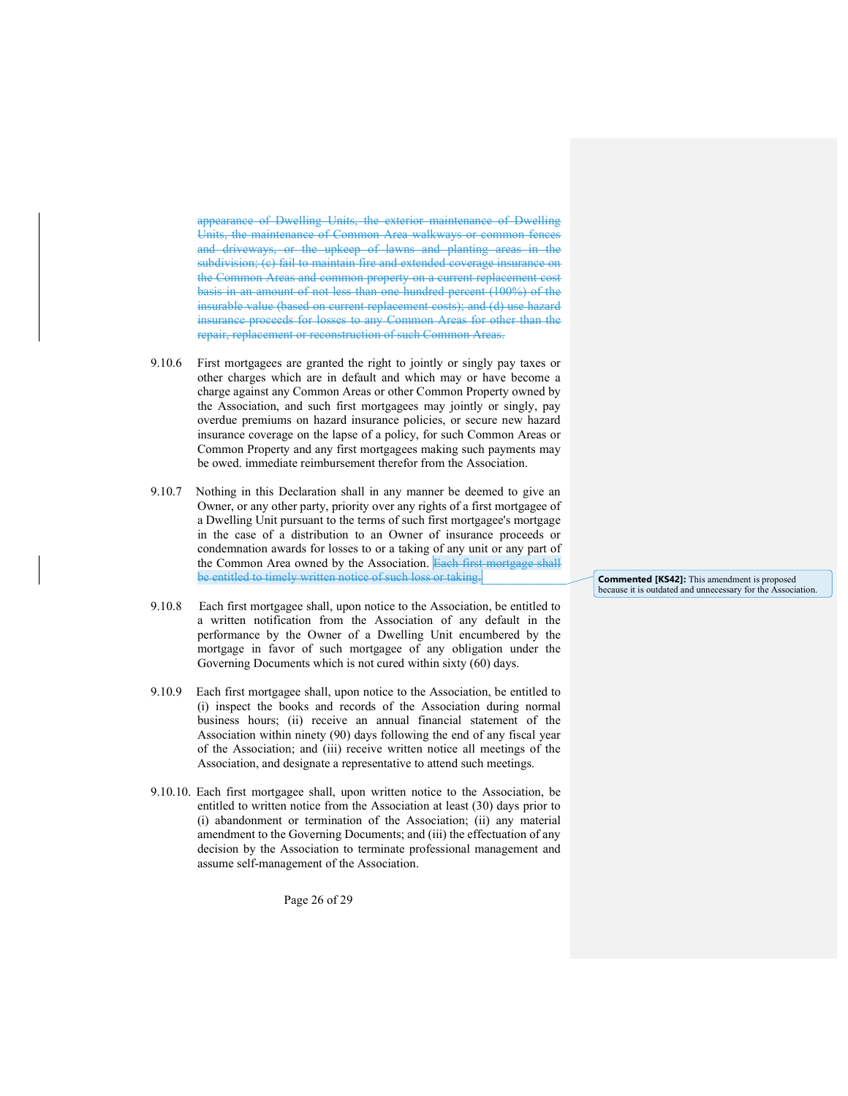appearance of Dwelling Units, the exterior maintenance of Dwelling Units, the maintenance of Common Area walkways or common fences and driveways, or the upkeep of lawns and planting areas in the subdivision; (c) fail to maintain fire and extended coverage insurance on the Common Areas and common property on a current replacement cost basis in an amount of not less than one hundred percent (100%) of the insurable value (based on current replacement costs); and (d) use hazard insurance proceeds for losses to any Common Areas for other than the repair, replacement or reconstruction of such Common Areas.

- 9.10.6 First mortgagees are granted the right to jointly or singly pay taxes or other charges which are in default and which may or have become a charge against any Common Areas or other Common Property owned by the Association, and such first mortgagees may jointly or singly, pay overdue premiums on hazard insurance policies, or secure new hazard insurance coverage on the lapse of a policy, for such Common Areas or Common Property and any first mortgagees making such payments may be owed. immediate reimbursement therefor from the Association.
- 9.10.7 Nothing in this Declaration shall in any manner be deemed to give an Owner, or any other party, priority over any rights of a first mortgagee of a Dwelling Unit pursuant to the terms of such first mortgagee's mortgage in the case of a distribution to an Owner of insurance proceeds or condemnation awards for losses to or a taking of any unit or any part of the Common Area owned by the Association. Each first mortgage shall be entitled to timely written notice of such loss or taking.
- 9.10.8 Each first mortgagee shall, upon notice to the Association, be entitled to a written notification from the Association of any default in the performance by the Owner of a Dwelling Unit encumbered by the mortgage in favor of such mortgagee of any obligation under the Governing Documents which is not cured within sixty (60) days.
- 9.10.9 Each first mortgagee shall, upon notice to the Association, be entitled to (i) inspect the books and records of the Association during normal business hours; (ii) receive an annual financial statement of the Association within ninety (90) days following the end of any fiscal year of the Association; and (iii) receive written notice all meetings of the Association, and designate a representative to attend such meetings.
- 9.10.10. Each first mortgagee shall, upon written notice to the Association, be entitled to written notice from the Association at least (30) days prior to (i) abandonment or termination of the Association; (ii) any material amendment to the Governing Documents; and (iii) the effectuation of any decision by the Association to terminate professional management and assume self-management of the Association.

Page 26 of 29

Commented [KS42]: This amendment is proposed because it is outdated and unnecessary for the Association.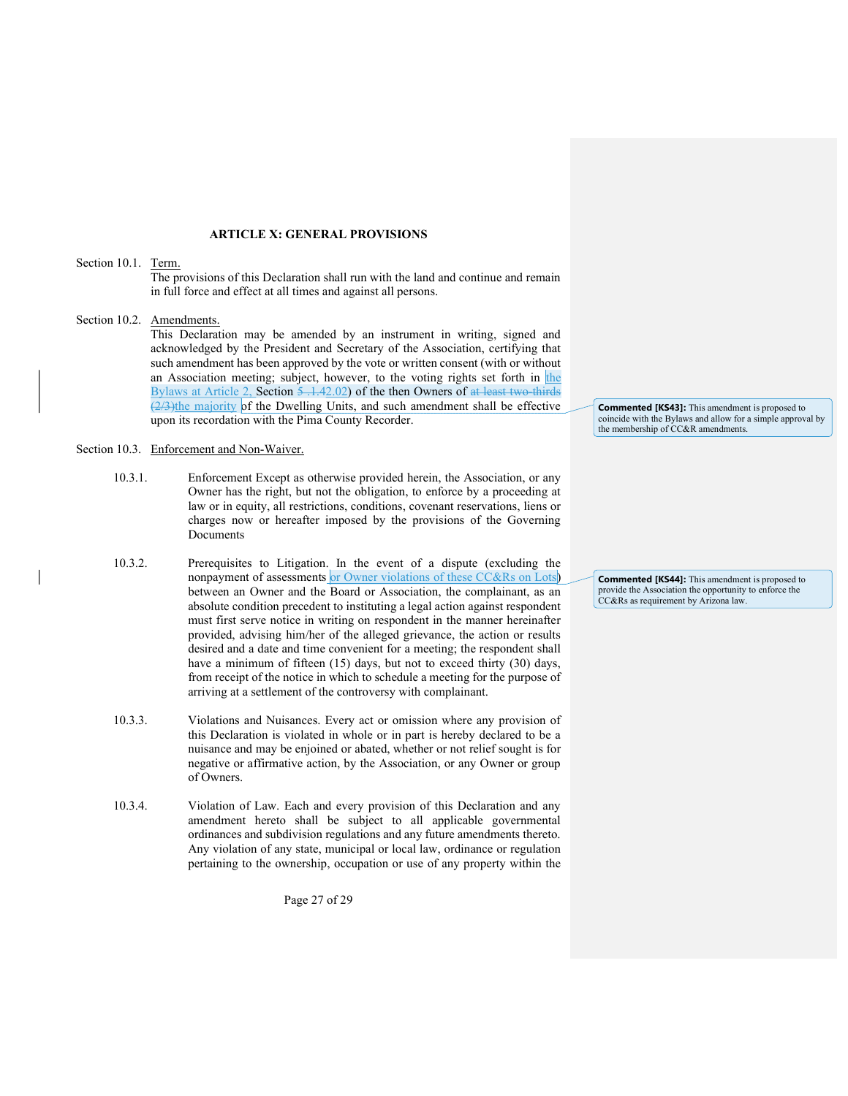### ARTICLE X: GENERAL PROVISIONS

### Section 10.1. Term.

The provisions of this Declaration shall run with the land and continue and remain in full force and effect at all times and against all persons.

### Section 10.2. Amendments.

This Declaration may be amended by an instrument in writing, signed and acknowledged by the President and Secretary of the Association, certifying that such amendment has been approved by the vote or written consent (with or without an Association meeting; subject, however, to the voting rights set forth in the Bylaws at Article 2, Section 5 .1.42.02) of the then Owners of at least two-thirds (2/3)the majority of the Dwelling Units, and such amendment shall be effective upon its recordation with the Pima County Recorder.

### Section 10.3. Enforcement and Non-Waiver.

- 10.3.1. Enforcement Except as otherwise provided herein, the Association, or any Owner has the right, but not the obligation, to enforce by a proceeding at law or in equity, all restrictions, conditions, covenant reservations, liens or charges now or hereafter imposed by the provisions of the Governing Documents
- 10.3.2. Prerequisites to Litigation. In the event of a dispute (excluding the nonpayment of assessments or Owner violations of these CC&Rs on Lots between an Owner and the Board or Association, the complainant, as an absolute condition precedent to instituting a legal action against respondent must first serve notice in writing on respondent in the manner hereinafter provided, advising him/her of the alleged grievance, the action or results desired and a date and time convenient for a meeting; the respondent shall have a minimum of fifteen (15) days, but not to exceed thirty (30) days, from receipt of the notice in which to schedule a meeting for the purpose of arriving at a settlement of the controversy with complainant.
- 10.3.3. Violations and Nuisances. Every act or omission where any provision of this Declaration is violated in whole or in part is hereby declared to be a nuisance and may be enjoined or abated, whether or not relief sought is for negative or affirmative action, by the Association, or any Owner or group of Owners.
- 10.3.4. Violation of Law. Each and every provision of this Declaration and any amendment hereto shall be subject to all applicable governmental ordinances and subdivision regulations and any future amendments thereto. Any violation of any state, municipal or local law, ordinance or regulation pertaining to the ownership, occupation or use of any property within the

Page 27 of 29

Commented [KS43]: This amendment is proposed to coincide with the Bylaws and allow for a simple approval by the membership of CC&R amendments.

Commented [KS44]: This amendment is proposed to provide the Association the opportunity to enforce the CC&Rs as requirement by Arizona law.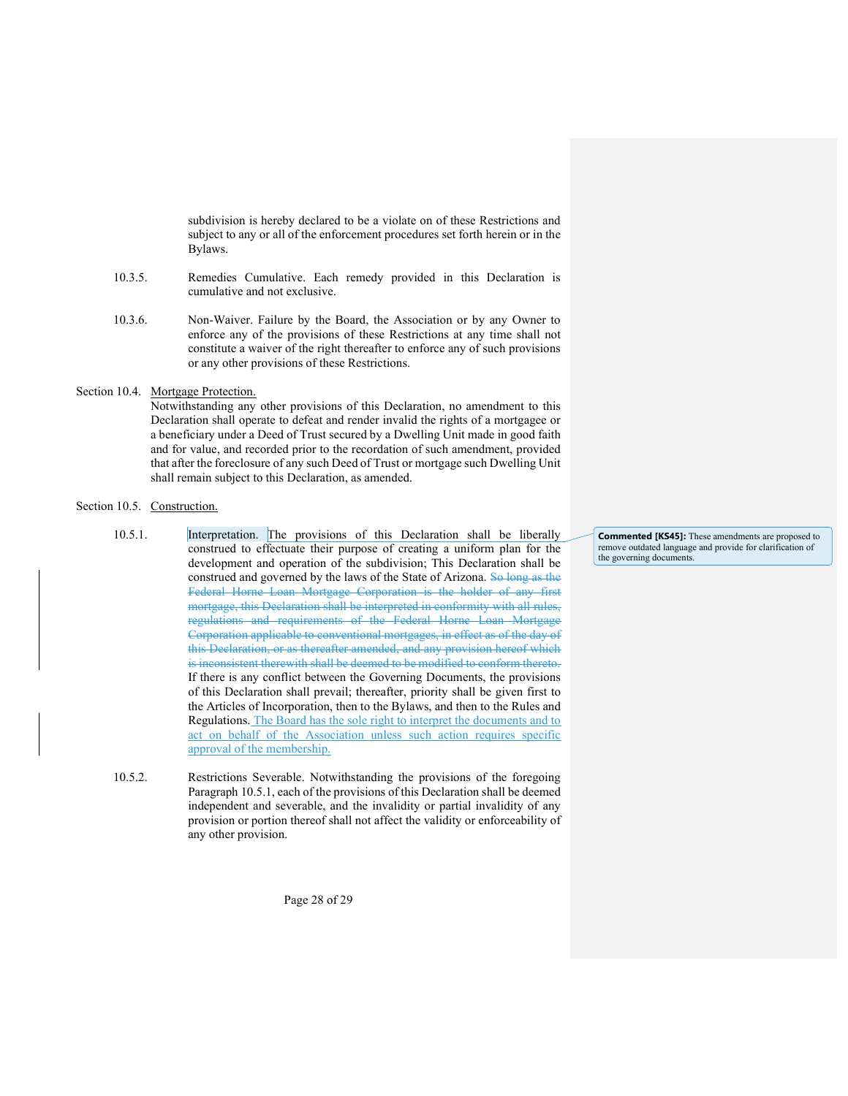subdivision is hereby declared to be a violate on of these Restrictions and subject to any or all of the enforcement procedures set forth herein or in the Bylaws.

- 10.3.5. Remedies Cumulative. Each remedy provided in this Declaration is cumulative and not exclusive.
- 10.3.6. Non-Waiver. Failure by the Board, the Association or by any Owner to enforce any of the provisions of these Restrictions at any time shall not constitute a waiver of the right thereafter to enforce any of such provisions or any other provisions of these Restrictions.

### Section 10.4. Mortgage Protection.

Notwithstanding any other provisions of this Declaration, no amendment to this Declaration shall operate to defeat and render invalid the rights of a mortgagee or a beneficiary under a Deed of Trust secured by a Dwelling Unit made in good faith and for value, and recorded prior to the recordation of such amendment, provided that after the foreclosure of any such Deed of Trust or mortgage such Dwelling Unit shall remain subject to this Declaration, as amended.

### Section 10.5. Construction.

- 10.5.1. Interpretation. The provisions of this Declaration shall be liberally construed to effectuate their purpose of creating a uniform plan for the development and operation of the subdivision; This Declaration shall be construed and governed by the laws of the State of Arizona. So long as the Federal Horne Loan Mortgage Corporation is the holder of any first mortgage, this Declaration shall be interpreted in conformity with all rules, regulations and requirements of the Federal Horne Loan Mortgage Corporation applicable to conventional mortgages, in effect as of the day of this Declaration, or as thereafter amended, and any provision hereof which is inconsistent therewith shall be deemed to be modified to conform thereto. If there is any conflict between the Governing Documents, the provisions of this Declaration shall prevail; thereafter, priority shall be given first to the Articles of Incorporation, then to the Bylaws, and then to the Rules and Regulations. The Board has the sole right to interpret the documents and to act on behalf of the Association unless such action requires specific approval of the membership.
- 10.5.2. Restrictions Severable. Notwithstanding the provisions of the foregoing Paragraph 10.5.1, each of the provisions of this Declaration shall be deemed independent and severable, and the invalidity or partial invalidity of any provision or portion thereof shall not affect the validity or enforceability of any other provision.

Commented [KS45]: These amendments are proposed to remove outdated language and provide for clarification of the governing documents.

Page 28 of 29